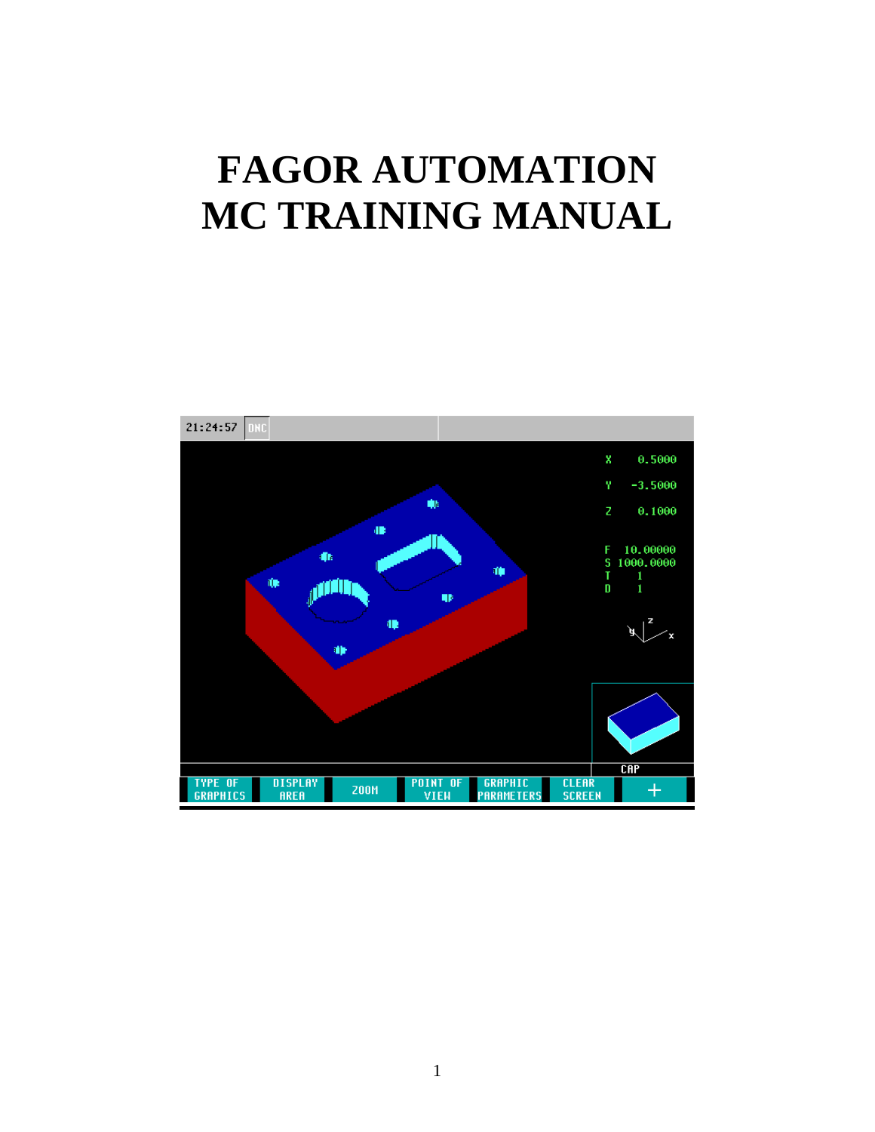## **FAGOR AUTOMATION MC TRAINING MANUAL**

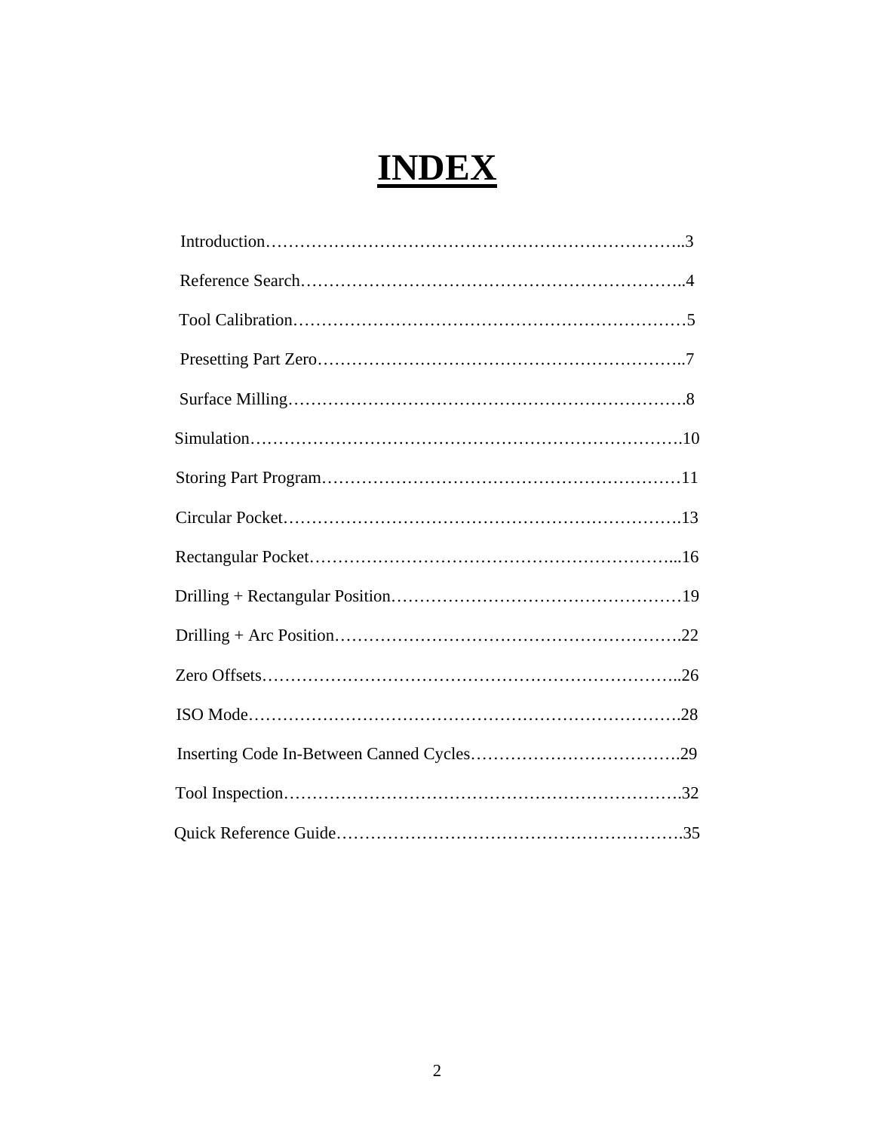### **INDEX**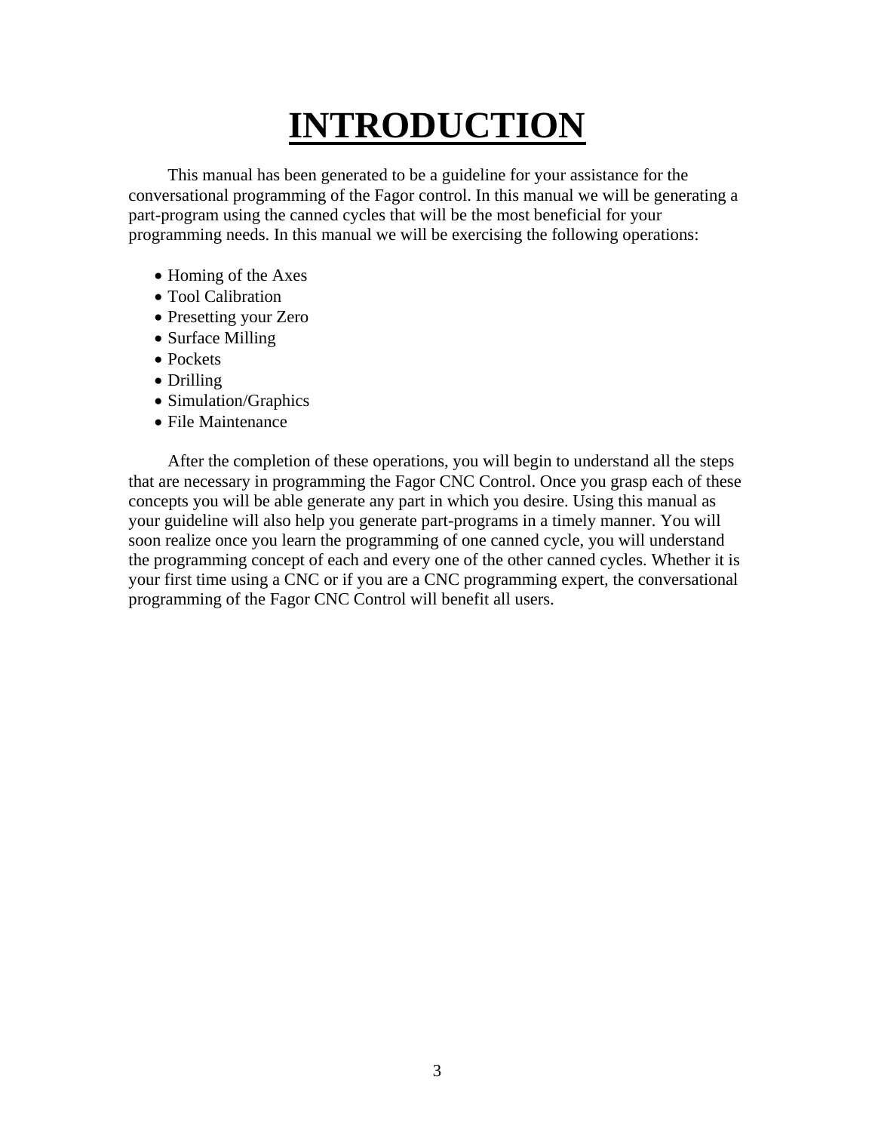## **INTRODUCTION**

 This manual has been generated to be a guideline for your assistance for the conversational programming of the Fagor control. In this manual we will be generating a part-program using the canned cycles that will be the most beneficial for your programming needs. In this manual we will be exercising the following operations:

- Homing of the Axes
- Tool Calibration
- Presetting your Zero
- Surface Milling
- Pockets
- Drilling
- Simulation/Graphics
- File Maintenance

 After the completion of these operations, you will begin to understand all the steps that are necessary in programming the Fagor CNC Control. Once you grasp each of these concepts you will be able generate any part in which you desire. Using this manual as your guideline will also help you generate part-programs in a timely manner. You will soon realize once you learn the programming of one canned cycle, you will understand the programming concept of each and every one of the other canned cycles. Whether it is your first time using a CNC or if you are a CNC programming expert, the conversational programming of the Fagor CNC Control will benefit all users.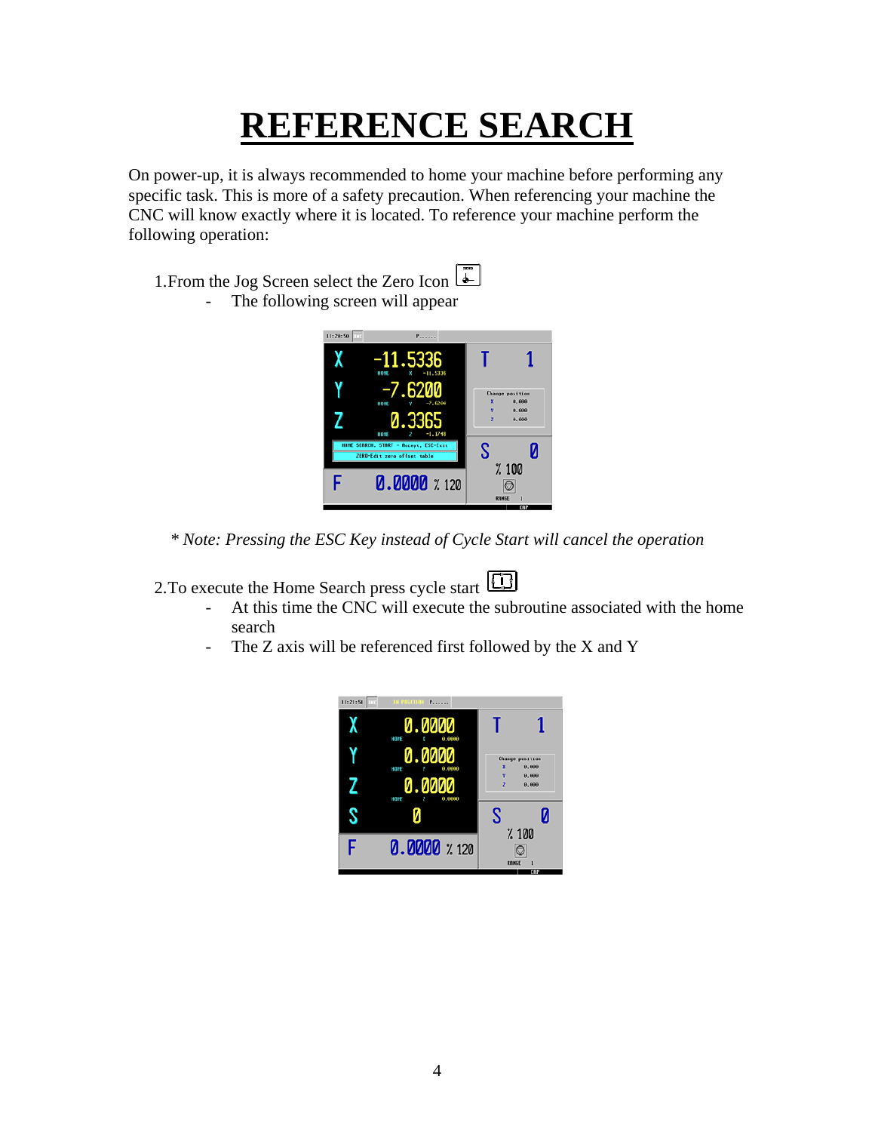### **REFERENCE SEARCH**

On power-up, it is always recommended to home your machine before performing any specific task. This is more of a safety precaution. When referencing your machine the CNC will know exactly where it is located. To reference your machine perform the following operation:

1. From the Jog Screen select the Zero Icon - The following screen will appear



*\* Note: Pressing the ESC Key instead of Cycle Start will cancel the operation* 

2. To execute the Home Search press cycle start **[11**]

- At this time the CNC will execute the subroutine associated with the home search
- The Z axis will be referenced first followed by the X and Y

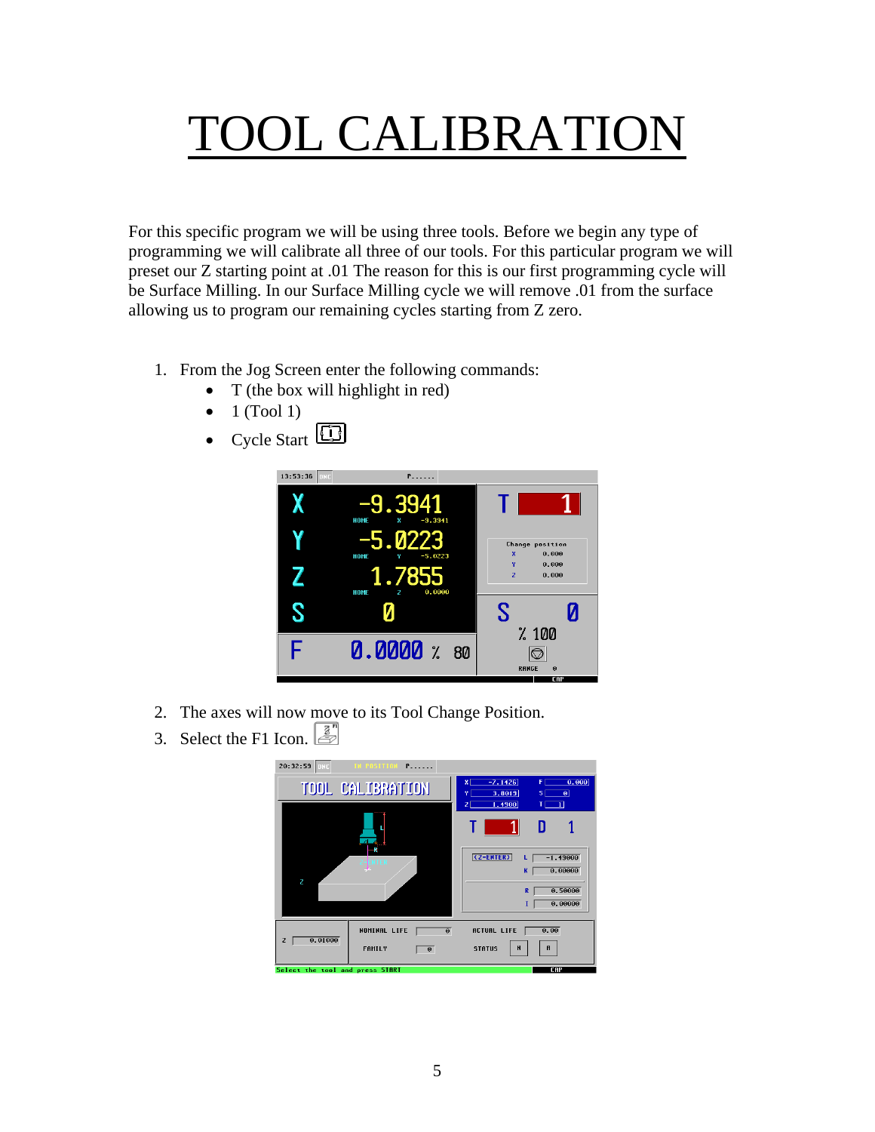## TOOL CALIBRATION

For this specific program we will be using three tools. Before we begin any type of programming we will calibrate all three of our tools. For this particular program we will preset our Z starting point at .01 The reason for this is our first programming cycle will be Surface Milling. In our Surface Milling cycle we will remove .01 from the surface allowing us to program our remaining cycles starting from Z zero.

- 1. From the Jog Screen enter the following commands:
	- T (the box will highlight in red)
	- 1 (Tool 1)





- 2. The axes will now move to its Tool Change Position.
- 31 3. Select the F1 Icon.

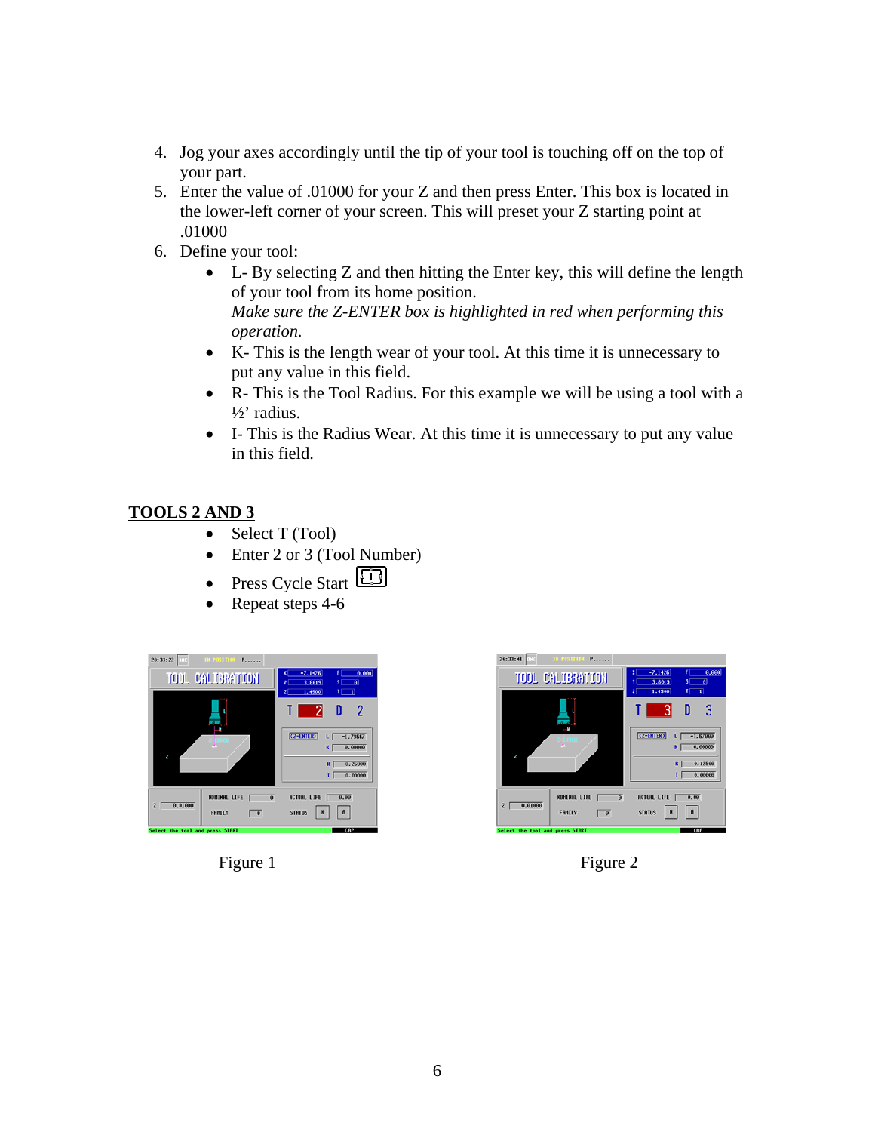- 4. Jog your axes accordingly until the tip of your tool is touching off on the top of your part.
- 5. Enter the value of .01000 for your Z and then press Enter. This box is located in the lower-left corner of your screen. This will preset your Z starting point at .01000
- 6. Define your tool:
	- L- By selecting Z and then hitting the Enter key, this will define the length of your tool from its home position. *Make sure the Z-ENTER box is highlighted in red when performing this operation.*
	- K- This is the length wear of your tool. At this time it is unnecessary to put any value in this field.
	- R- This is the Tool Radius. For this example we will be using a tool with a ½' radius.
	- I- This is the Radius Wear. At this time it is unnecessary to put any value in this field.

#### **TOOLS 2 AND 3**

- Select T (Tool)
- Enter 2 or 3 (Tool Number)
- Press Cycle Start
- Repeat steps 4-6





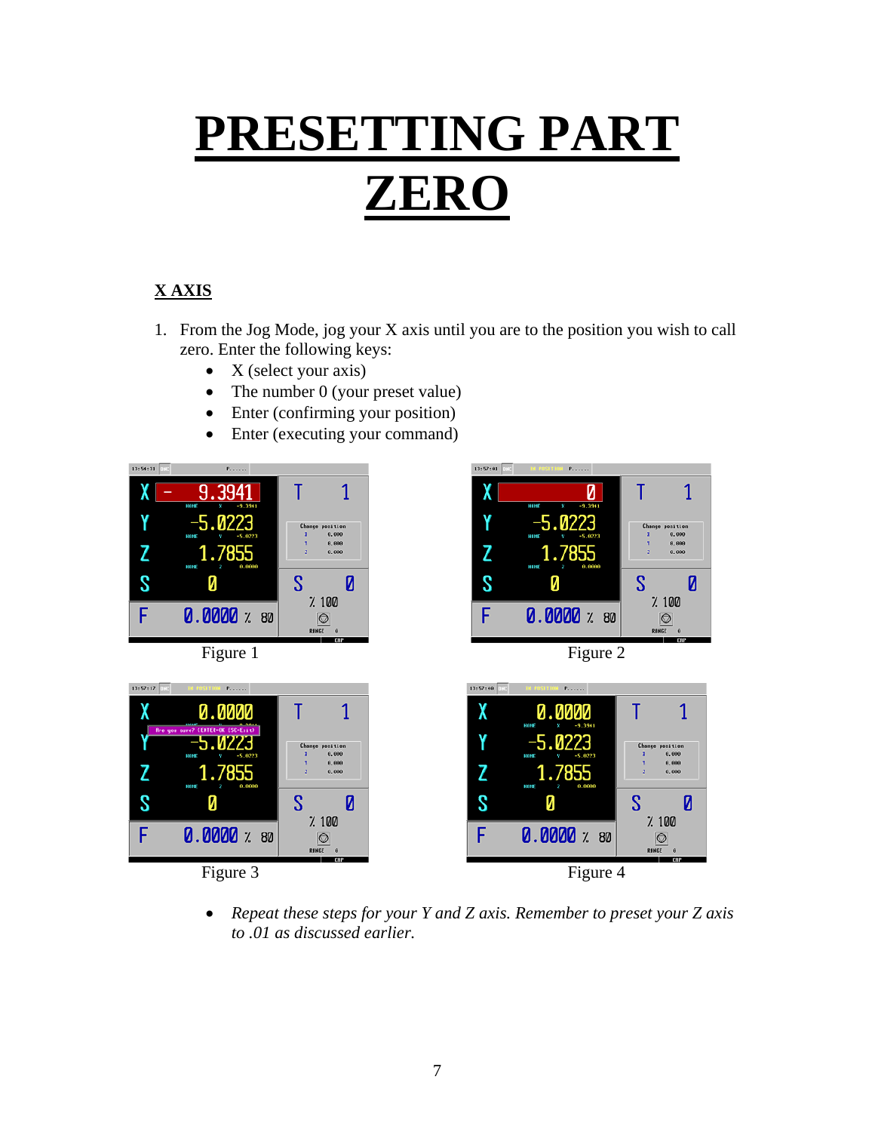# **PRESETTING PART ZERO**

#### **X AXIS**

- 1. From the Jog Mode, jog your X axis until you are to the position you wish to call zero. Enter the following keys:
	- $X$  (select your axis)
	- The number 0 (your preset value)
	- Enter (confirming your position)
	- Enter (executing your command)







• *Repeat these steps for your Y and Z axis. Remember to preset your Z axis to .01 as discussed earlier.*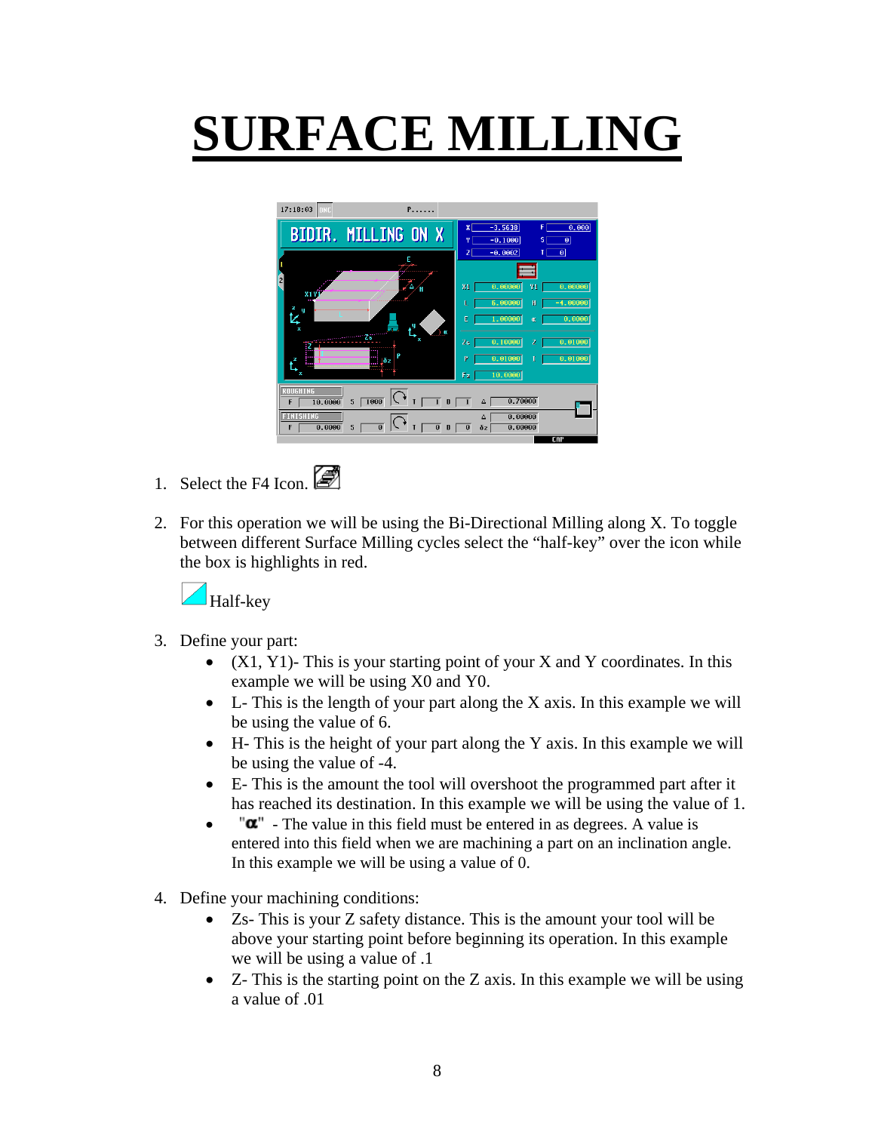# **SURFACE MILLING**



- 1. Select the F4 Icon.
- 2. For this operation we will be using the Bi-Directional Milling along X. To toggle between different Surface Milling cycles select the "half-key" over the icon while the box is highlights in red.



- 3. Define your part:
	- $(X1, Y1)$  This is your starting point of your X and Y coordinates. In this example we will be using X0 and Y0.
	- L- This is the length of your part along the X axis. In this example we will be using the value of 6.
	- H- This is the height of your part along the Y axis. In this example we will be using the value of -4.
	- E- This is the amount the tool will overshoot the programmed part after it has reached its destination. In this example we will be using the value of 1.
	- $\mathbf{u}^{\mathsf{T}}$  The value in this field must be entered in as degrees. A value is entered into this field when we are machining a part on an inclination angle. In this example we will be using a value of 0.
- 4. Define your machining conditions:
	- Zs- This is your Z safety distance. This is the amount your tool will be above your starting point before beginning its operation. In this example we will be using a value of .1
	- Z- This is the starting point on the Z axis. In this example we will be using a value of .01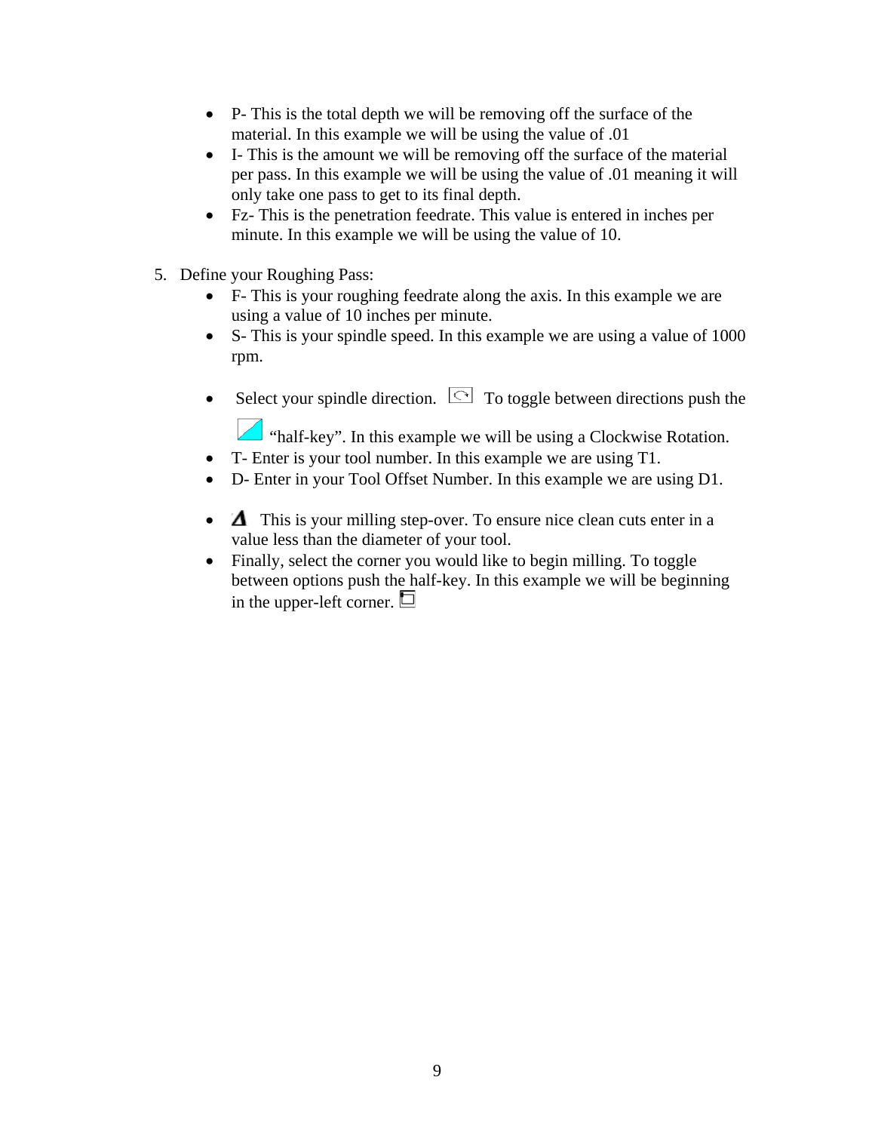- P- This is the total depth we will be removing off the surface of the material. In this example we will be using the value of .01
- I- This is the amount we will be removing off the surface of the material per pass. In this example we will be using the value of .01 meaning it will only take one pass to get to its final depth.
- Fz- This is the penetration feedrate. This value is entered in inches per minute. In this example we will be using the value of 10.
- 5. Define your Roughing Pass:
	- F- This is your roughing feedrate along the axis. In this example we are using a value of 10 inches per minute.
	- S- This is your spindle speed. In this example we are using a value of 1000 rpm.
	- Select your spindle direction.  $\Box$  To toggle between directions push the
		- "half-key". In this example we will be using a Clockwise Rotation.
	- T- Enter is your tool number. In this example we are using T1.
	- D- Enter in your Tool Offset Number. In this example we are using D1.
	- $\Delta$  This is your milling step-over. To ensure nice clean cuts enter in a value less than the diameter of your tool.
	- Finally, select the corner you would like to begin milling. To toggle between options push the half-key. In this example we will be beginning in the upper-left corner.  $\Box$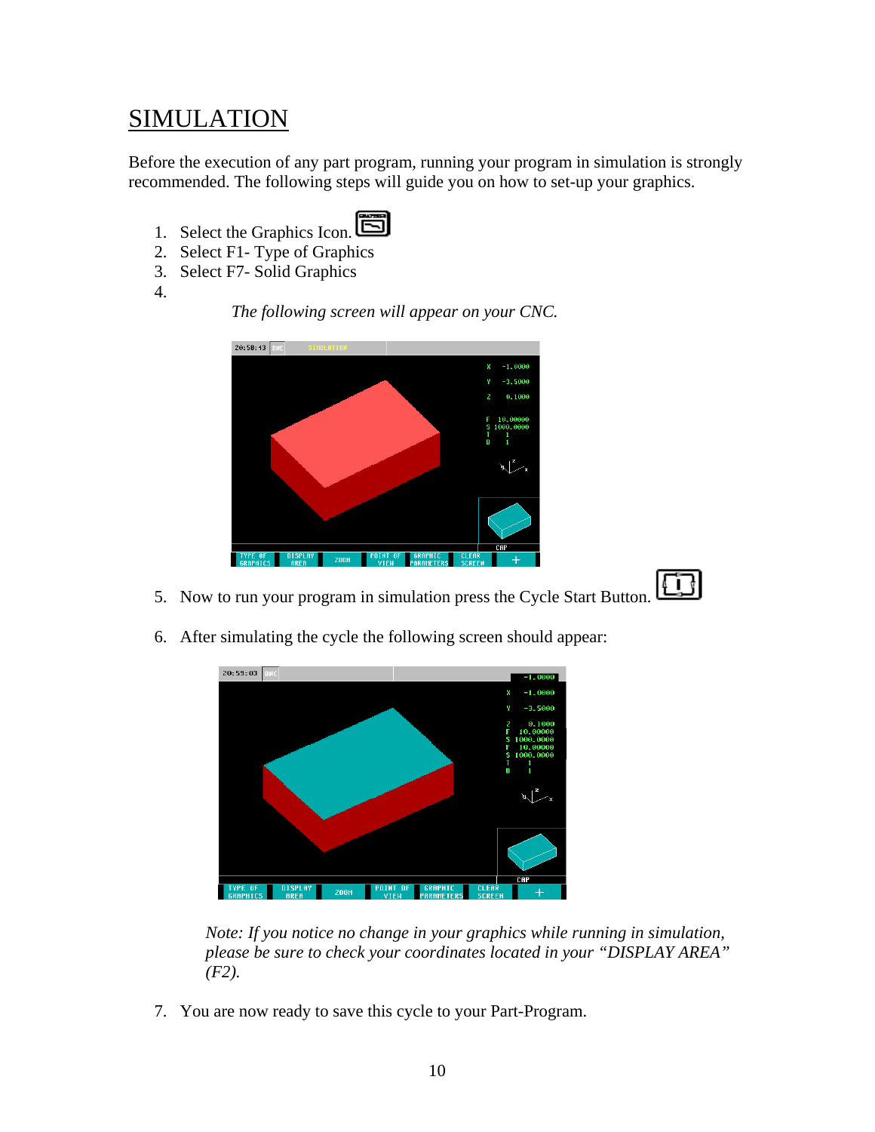#### SIMULATION

Before the execution of any part program, running your program in simulation is strongly recommended. The following steps will guide you on how to set-up your graphics.

- 1. Select the Graphics Icon.
- 2. Select F1- Type of Graphics
- 3. Select F7- Solid Graphics
- 4.

 $20:58:43$  DNC DISPLAY<br>ODEO  $200M$  $\parallel$ 





5. Now to run your program in simulation press the Cycle Start Button.



6. After simulating the cycle the following screen should appear:

*Note: If you notice no change in your graphics while running in simulation, please be sure to check your coordinates located in your "DISPLAY AREA" (F2).* 

7. You are now ready to save this cycle to your Part-Program.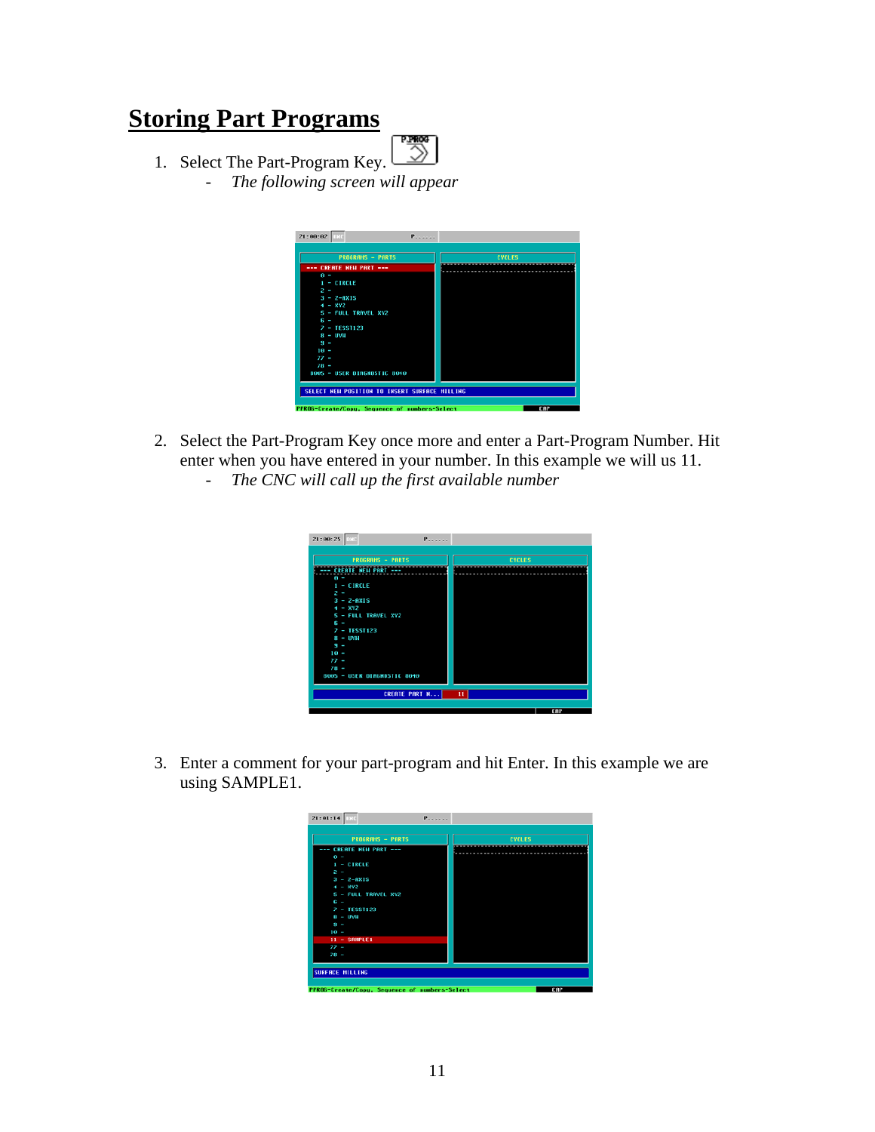### **Storing Part Programs**

- 鹦
- 1. Select The Part-Program Key. - *The following screen will appear*



- 2. Select the Part-Program Key once more and enter a Part-Program Number. Hit enter when you have entered in your number. In this example we will us 11.
	- *The CNC will call up the first available number*

| 21:00:25                              | P                    |               |
|---------------------------------------|----------------------|---------------|
| <b>PROGRAMS - PARTS</b>               |                      | <b>CYCLES</b> |
| --- CREATE NEW PART ---<br>$\theta$ = |                      |               |
| $1 - CIRCLE$<br>$2 -$                 |                      |               |
| $3 - 2 - 0XIS$                        |                      |               |
| $4 - XY2$<br>5 - FULL TRAVEL XYZ      |                      |               |
| $6 -$<br>$2 - TESST123$               |                      |               |
| $8 - 004$<br>$9 -$                    |                      |               |
| $10 -$<br>$\prime\prime$ -            |                      |               |
| $78 -$<br>8005 - USER DIAGNOSTIC 8040 |                      |               |
|                                       |                      |               |
|                                       | <b>CREATE PART N</b> | $\mathbf{11}$ |
|                                       |                      | CAP           |

3. Enter a comment for your part-program and hit Enter. In this example we are using SAMPLE1.

| <b>PROGRAMS - PARTS</b> | <b>CYCLES</b> |
|-------------------------|---------------|
| --- CREATE NEW PART --- |               |
| $\theta =$              |               |
| $1 - CIRCLE$            |               |
| $2 -$                   |               |
| $3 - 2 - 0$             |               |
| $4 - XY2$               |               |
| 5 - FULL TRAVEL XY2     |               |
| $6 -$                   |               |
| $7 - TESS1123$          |               |
| $8 - 1004$              |               |
| $9 -$                   |               |
| $10 -$                  |               |
| $11 - SMPLE1$           |               |
| $77 -$                  |               |
| $78 -$                  |               |
|                         |               |
|                         |               |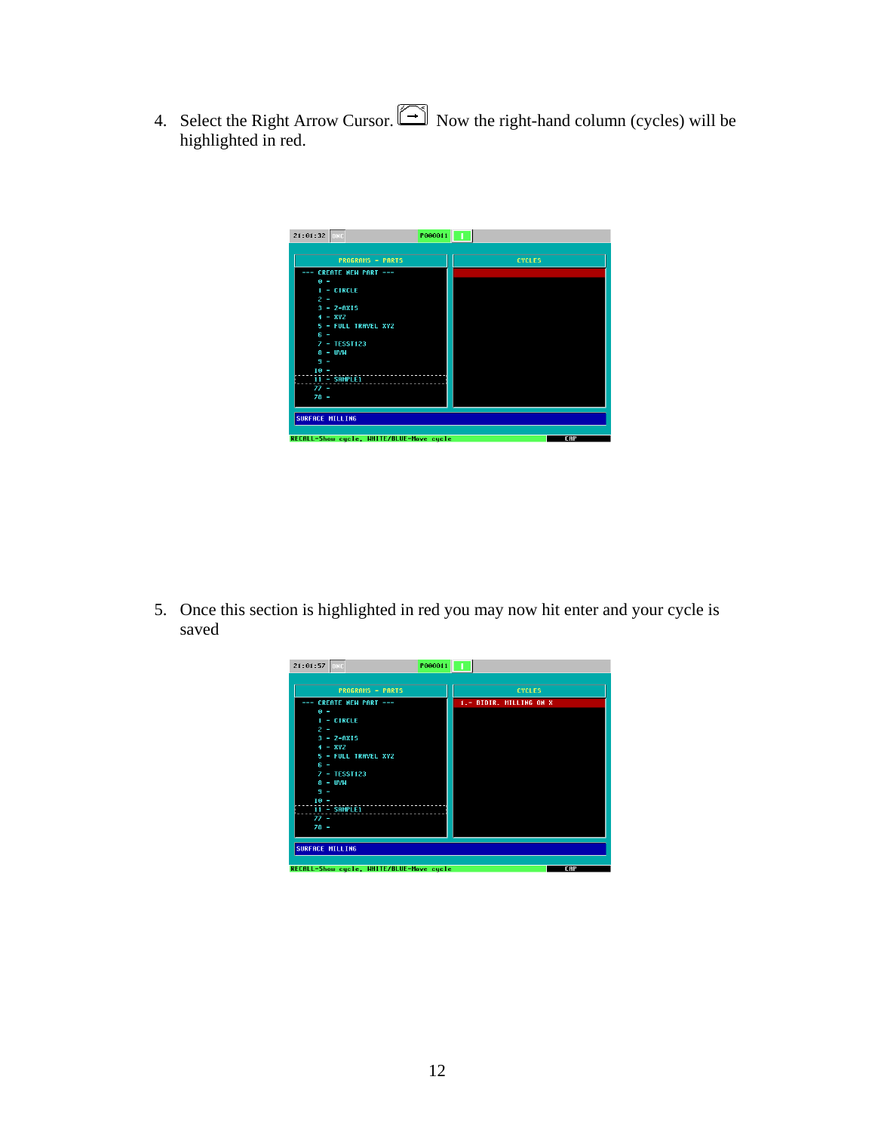4. Select the Right Arrow Cursor.  $\Box$  Now the right-hand column (cycles) will be highlighted in red.



5. Once this section is highlighted in red you may now hit enter and your cycle is saved

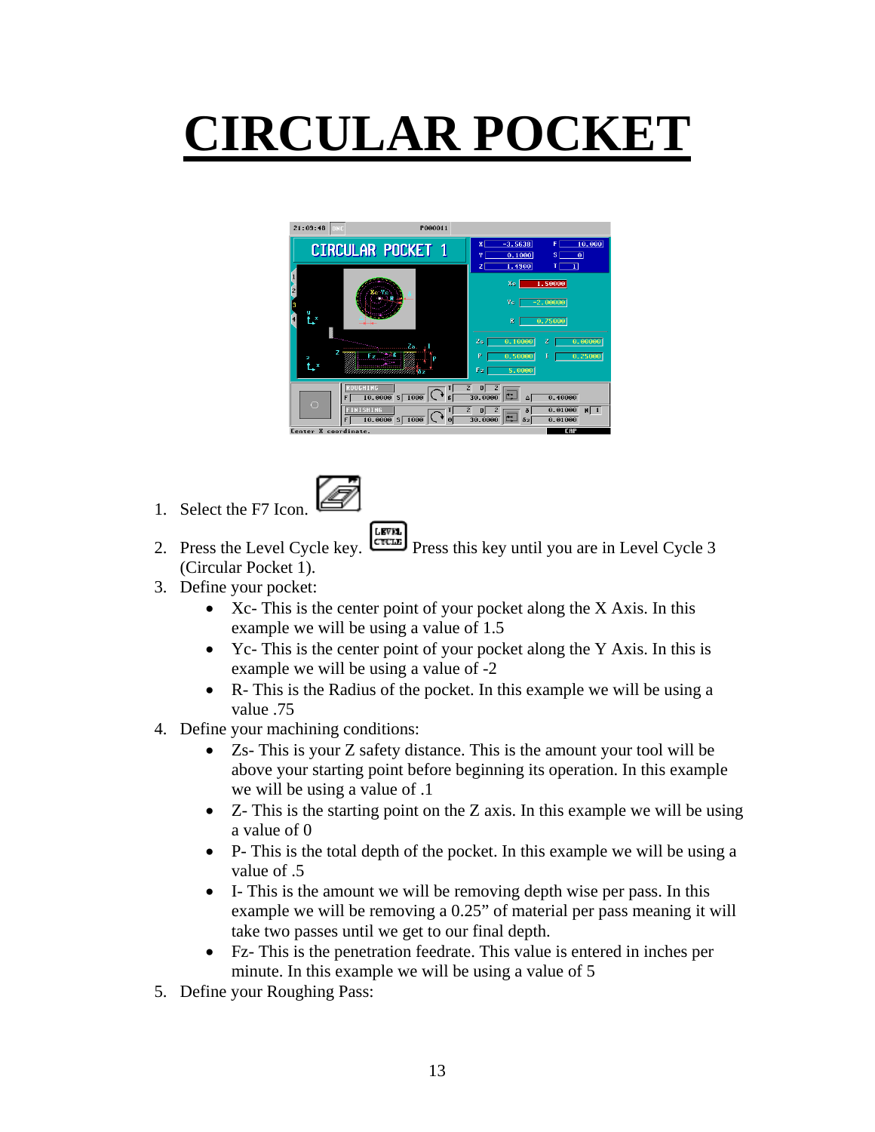# **CIRCULAR POCKET**



- 1. Select the F7 Icon.
- 
- 2. Press the Level Cycle key.  $\begin{bmatrix} \text{LSTM} \\ \text{Cretim} \end{bmatrix}$  Press this key until you are in Level Cycle 3 (Circular Pocket 1).
- 3. Define your pocket:
	- Xc- This is the center point of your pocket along the X Axis. In this example we will be using a value of 1.5
	- Yc- This is the center point of your pocket along the Y Axis. In this is example we will be using a value of -2
	- R- This is the Radius of the pocket. In this example we will be using a value .75
- 4. Define your machining conditions:
	- Zs- This is your Z safety distance. This is the amount your tool will be above your starting point before beginning its operation. In this example we will be using a value of .1
	- Z- This is the starting point on the Z axis. In this example we will be using a value of 0
	- P- This is the total depth of the pocket. In this example we will be using a value of .5
	- I- This is the amount we will be removing depth wise per pass. In this example we will be removing a 0.25" of material per pass meaning it will take two passes until we get to our final depth.
	- Fz- This is the penetration feedrate. This value is entered in inches per minute. In this example we will be using a value of 5
- 5. Define your Roughing Pass: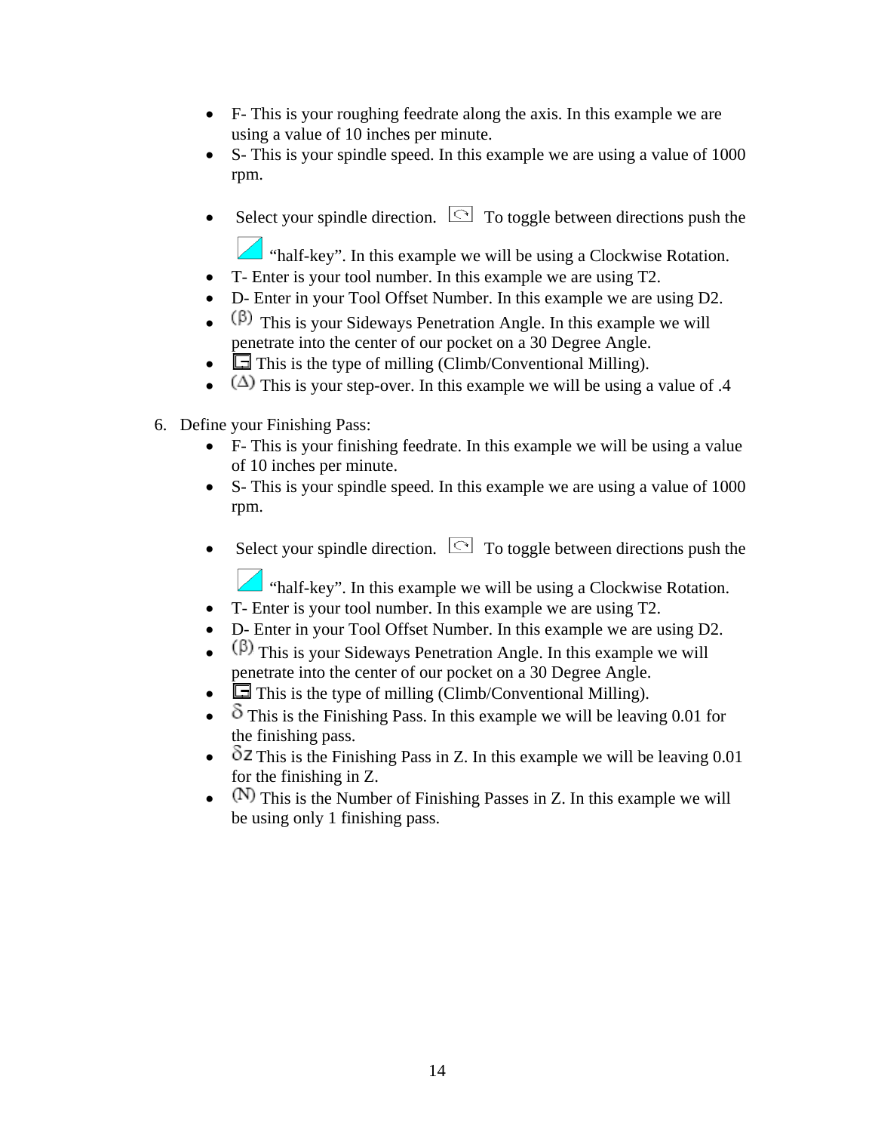- F- This is your roughing feedrate along the axis. In this example we are using a value of 10 inches per minute.
- S- This is your spindle speed. In this example we are using a value of 1000 rpm.
- Select your spindle direction.  $\Box$  To toggle between directions push the
	- "half-key". In this example we will be using a Clockwise Rotation.
- T- Enter is your tool number. In this example we are using T2.
- D- Enter in your Tool Offset Number. In this example we are using D2.
- $(\beta)$  This is your Sideways Penetration Angle. In this example we will penetrate into the center of our pocket on a 30 Degree Angle.
- $\Box$  This is the type of milling (Climb/Conventional Milling).
- ( $\triangle$ ) This is your step-over. In this example we will be using a value of .4
- 6. Define your Finishing Pass:
	- F- This is your finishing feedrate. In this example we will be using a value of 10 inches per minute.
	- S- This is your spindle speed. In this example we are using a value of 1000 rpm.
	- Select your spindle direction.  $\Box$  To toggle between directions push the

"half-key". In this example we will be using a Clockwise Rotation.

- T- Enter is your tool number. In this example we are using T2.
- D- Enter in your Tool Offset Number. In this example we are using D2.
- $(\beta)$  This is your Sideways Penetration Angle. In this example we will penetrate into the center of our pocket on a 30 Degree Angle.
- $\Box$  This is the type of milling (Climb/Conventional Milling).
- $\delta$  This is the Finishing Pass. In this example we will be leaving 0.01 for the finishing pass.
- $\delta$ Z This is the Finishing Pass in Z. In this example we will be leaving 0.01 for the finishing in Z.
- $(N)$  This is the Number of Finishing Passes in Z. In this example we will be using only 1 finishing pass.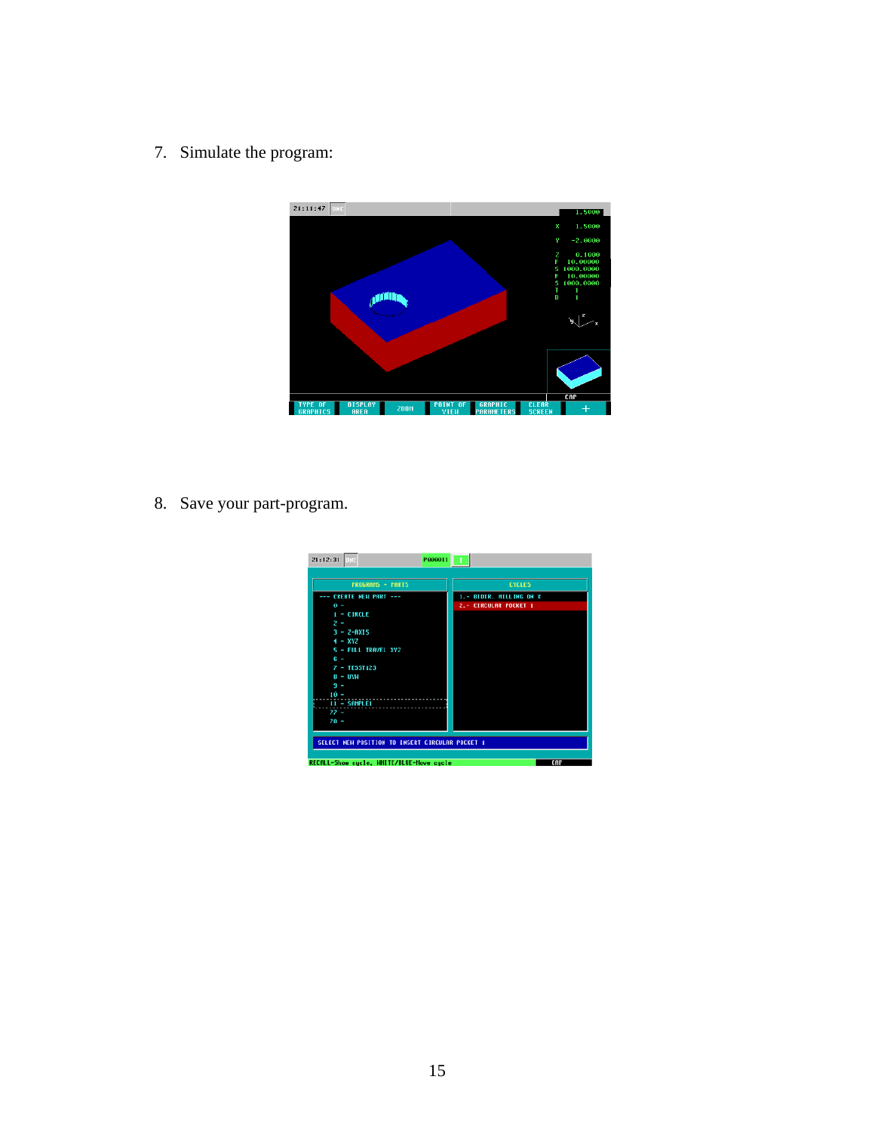7. Simulate the program:



8. Save your part-program.

| $21:12:31$ DNC<br>P000011                       |                                                  |
|-------------------------------------------------|--------------------------------------------------|
| <b>PROGRAMS - PARTS</b>                         | <b>CYCLES</b>                                    |
| --- CREATE NEW PART ---<br>$\theta =$           | 1.- BIDIR. MILLING ON X<br>2.- CIRCULAR POCKET 1 |
| 1 - CIRCLE<br>$2 -$                             |                                                  |
| $3 - Z - RXIS$<br>$4 - XYZ$                     |                                                  |
| 5 - FULL TRAVEL XYZ<br>$6 -$                    |                                                  |
| $7 - TESST123$<br>$B - UNH$<br>$9 -$            |                                                  |
| $10 -$<br>$11 - SMPLE1$                         |                                                  |
| $77 -$<br>$78 -$                                |                                                  |
|                                                 |                                                  |
| SELECT NEW POSITION TO INSERT CIRCULAR POCKET 1 |                                                  |
| RECALL-Show cycle, HHITE/BLUE-Hove cycle        | CAP                                              |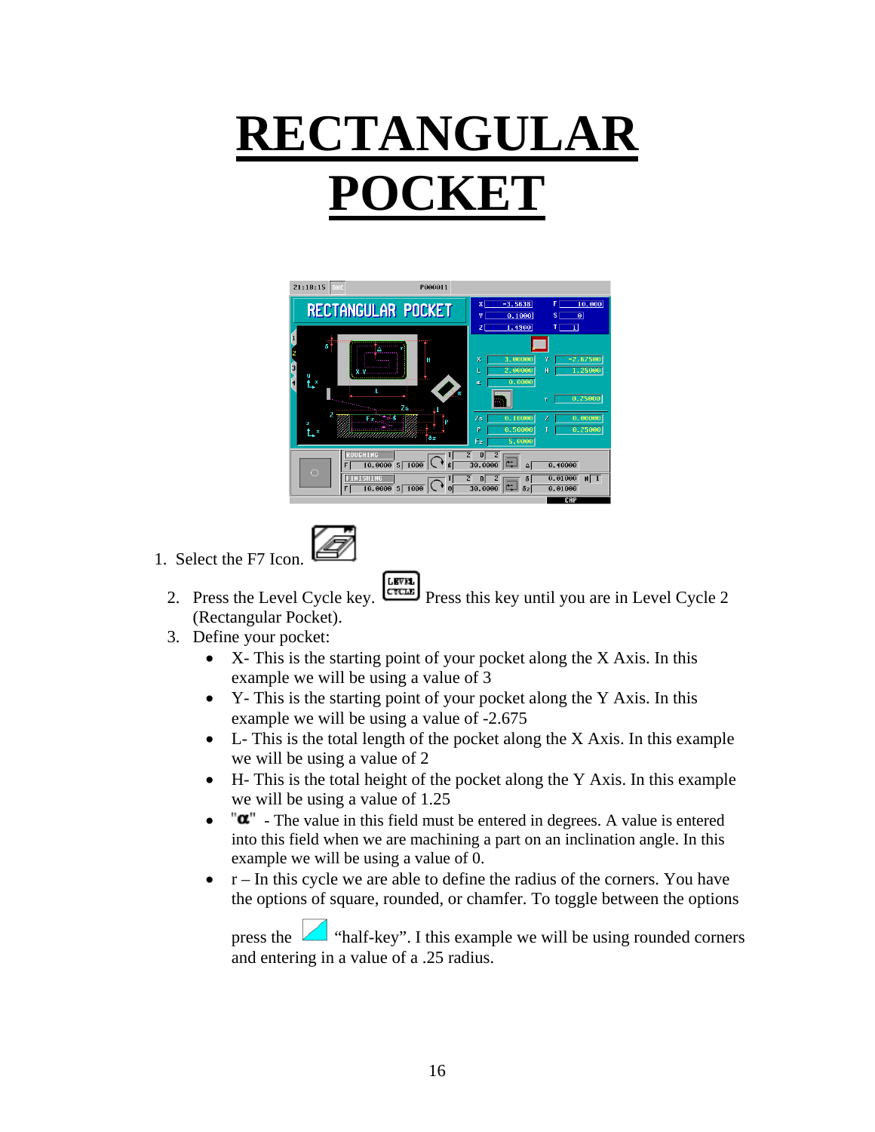## **RECTANGULAR POCKET**



- 1. Select the F7 Icon.
	- **LEVEL** 2. Press the Level Cycle key. **Press this key until you are in Level Cycle 2** (Rectangular Pocket).
	- 3. Define your pocket:
		- X- This is the starting point of your pocket along the X Axis. In this example we will be using a value of 3
		- Y- This is the starting point of your pocket along the Y Axis. In this example we will be using a value of -2.675
		- L- This is the total length of the pocket along the X Axis. In this example we will be using a value of 2
		- H- This is the total height of the pocket along the Y Axis. In this example we will be using a value of 1.25
		- $\bullet$   $\mathbf{u}^{\mathsf{m}}$  The value in this field must be entered in degrees. A value is entered into this field when we are machining a part on an inclination angle. In this example we will be using a value of 0.
		- $\bullet$  r In this cycle we are able to define the radius of the corners. You have the options of square, rounded, or chamfer. To toggle between the options

press the  $\Box$  "half-key". I this example we will be using rounded corners and entering in a value of a .25 radius.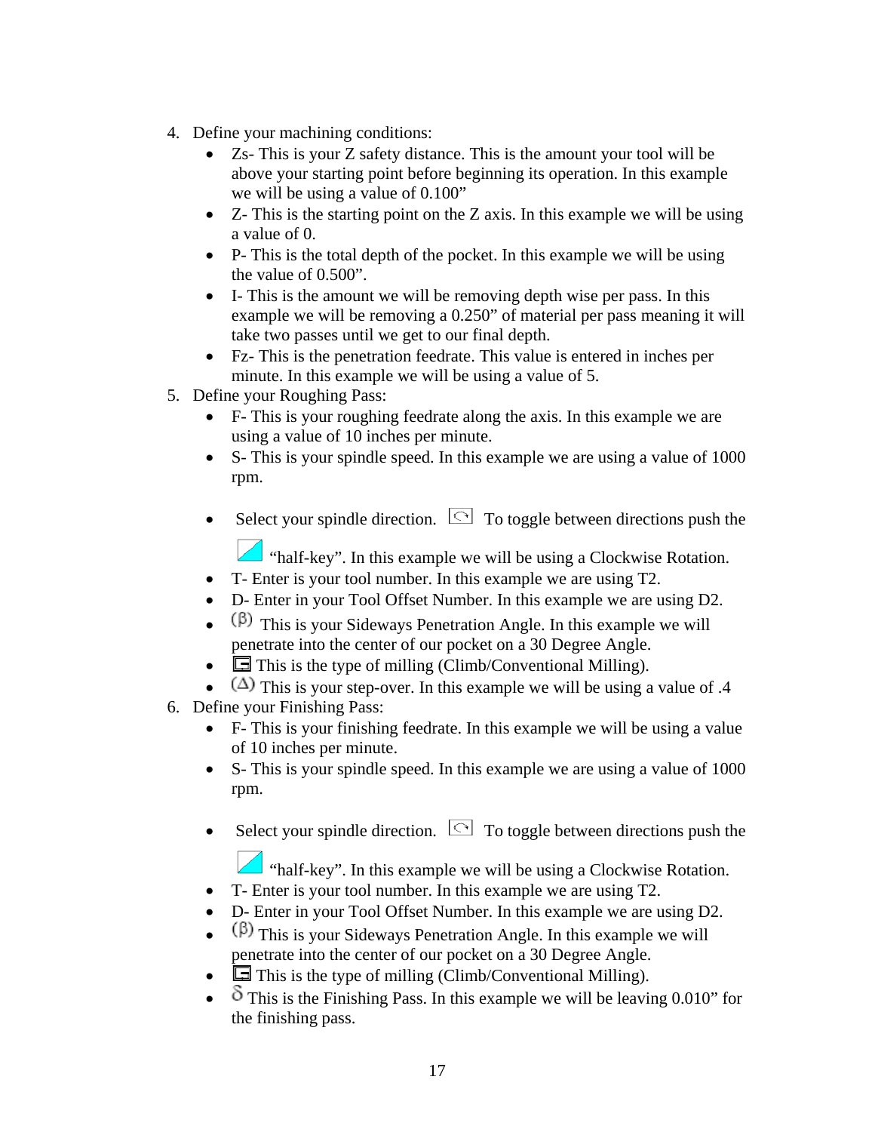- 4. Define your machining conditions:
	- Zs- This is your Z safety distance. This is the amount your tool will be above your starting point before beginning its operation. In this example we will be using a value of 0.100"
	- Z- This is the starting point on the Z axis. In this example we will be using a value of 0.
	- P- This is the total depth of the pocket. In this example we will be using the value of 0.500".
	- I- This is the amount we will be removing depth wise per pass. In this example we will be removing a 0.250" of material per pass meaning it will take two passes until we get to our final depth.
	- Fz- This is the penetration feedrate. This value is entered in inches per minute. In this example we will be using a value of 5.
- 5. Define your Roughing Pass:
	- F- This is your roughing feedrate along the axis. In this example we are using a value of 10 inches per minute.
	- S- This is your spindle speed. In this example we are using a value of 1000 rpm.
	- Select your spindle direction.  $\Box$  To toggle between directions push the

"half-key". In this example we will be using a Clockwise Rotation.

- T- Enter is your tool number. In this example we are using T2.
- D- Enter in your Tool Offset Number. In this example we are using D2.
- $(\beta)$  This is your Sideways Penetration Angle. In this example we will penetrate into the center of our pocket on a 30 Degree Angle.
- $\Box$  This is the type of milling (Climb/Conventional Milling).
- ( $\Delta$ ) This is your step-over. In this example we will be using a value of .4
- 6. Define your Finishing Pass:
	- F- This is your finishing feedrate. In this example we will be using a value of 10 inches per minute.
	- S- This is your spindle speed. In this example we are using a value of 1000 rpm.
	- Select your spindle direction.  $\Box$  To toggle between directions push the

"half-key". In this example we will be using a Clockwise Rotation.

- T- Enter is your tool number. In this example we are using T2.
- D- Enter in your Tool Offset Number. In this example we are using D2.
- $(\beta)$  This is your Sideways Penetration Angle. In this example we will penetrate into the center of our pocket on a 30 Degree Angle.
- $\Box$  This is the type of milling (Climb/Conventional Milling).
- $\delta$  This is the Finishing Pass. In this example we will be leaving 0.010" for the finishing pass.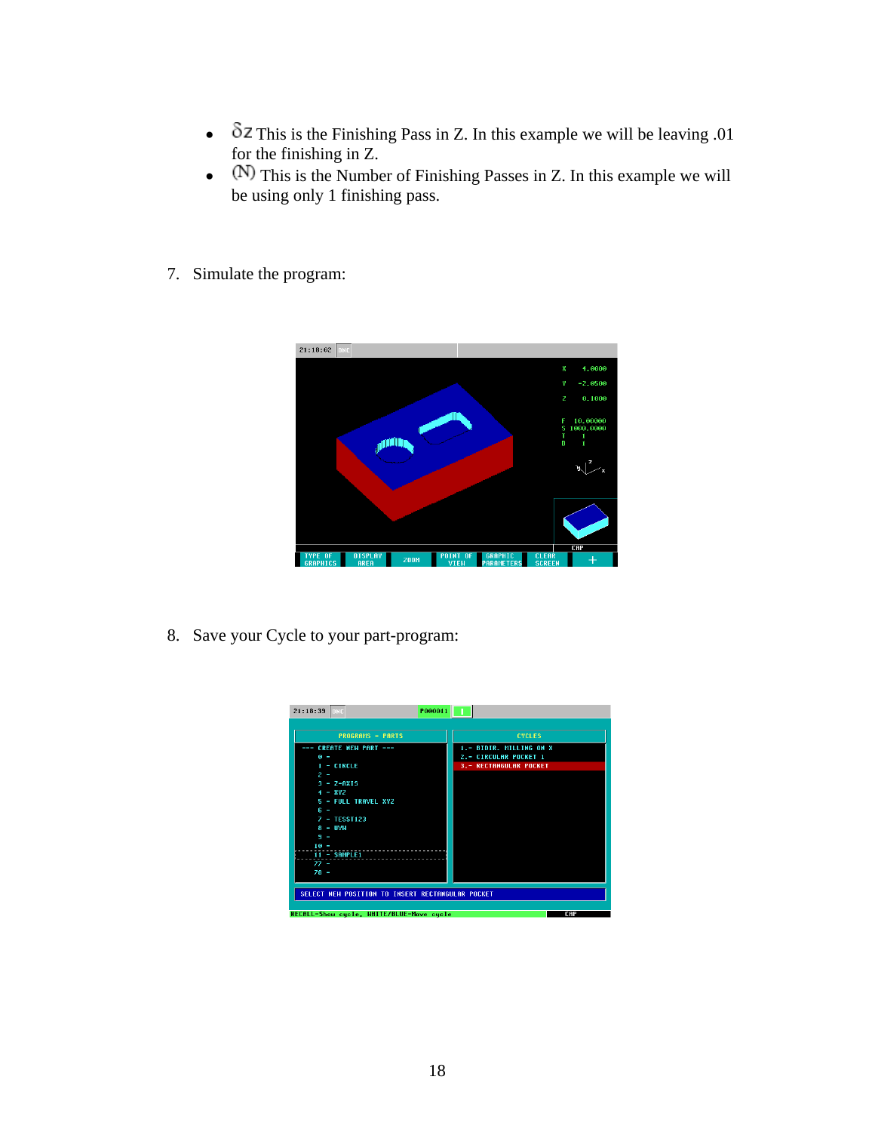- $\delta$ Z This is the Finishing Pass in Z. In this example we will be leaving .01 for the finishing in Z.
- $\bullet$  (N) This is the Number of Finishing Passes in Z. In this example we will be using only 1 finishing pass.
- 7. Simulate the program:



8. Save your Cycle to your part-program:

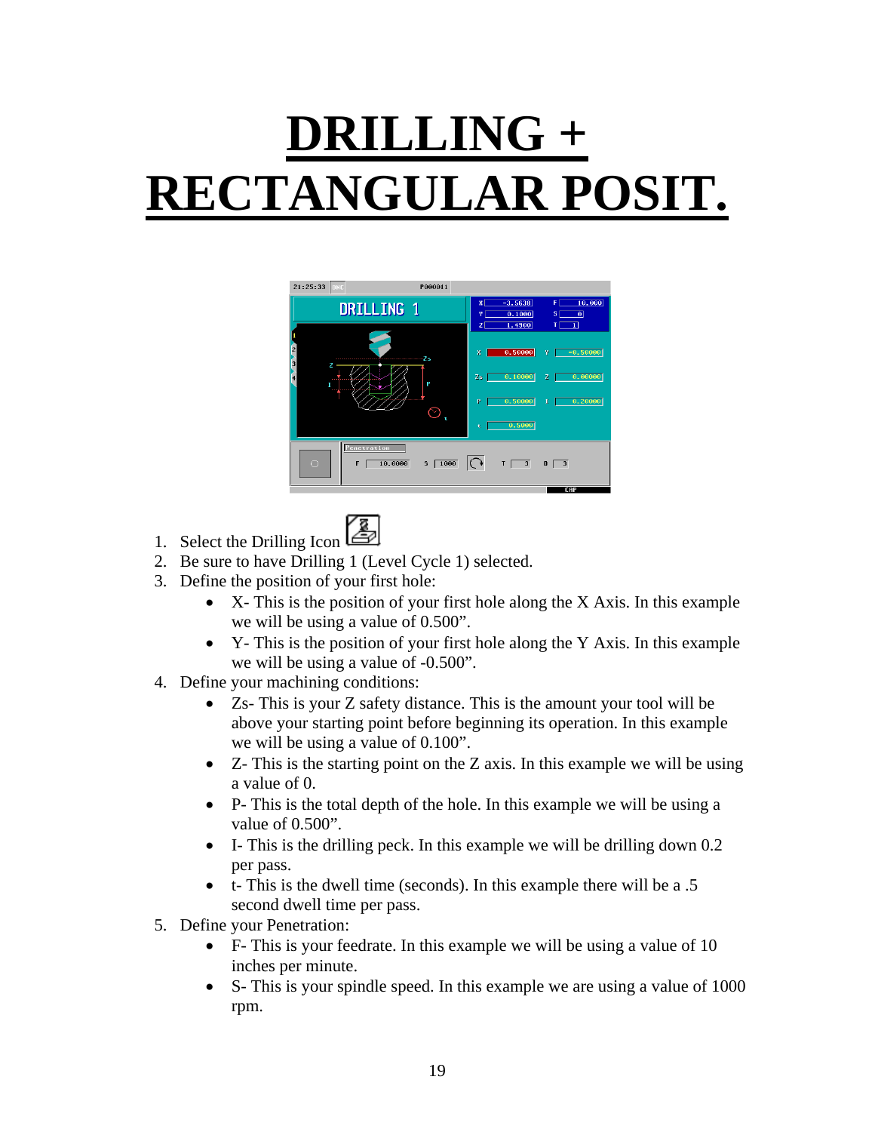## **DRILLING + RECTANGULAR POSIT.**



- 1. Select the Drilling Icon
- 2. Be sure to have Drilling 1 (Level Cycle 1) selected.
- 3. Define the position of your first hole:
	- X- This is the position of your first hole along the X Axis. In this example we will be using a value of 0.500".
	- Y- This is the position of your first hole along the Y Axis. In this example we will be using a value of -0.500".
- 4. Define your machining conditions:
	- Zs- This is your Z safety distance. This is the amount your tool will be above your starting point before beginning its operation. In this example we will be using a value of 0.100".
	- Z- This is the starting point on the Z axis. In this example we will be using a value of 0.
	- P- This is the total depth of the hole. In this example we will be using a value of 0.500".
	- I- This is the drilling peck. In this example we will be drilling down  $0.2$ per pass.
	- t- This is the dwell time (seconds). In this example there will be a .5 second dwell time per pass.
- 5. Define your Penetration:
	- F- This is your feedrate. In this example we will be using a value of 10 inches per minute.
	- S- This is your spindle speed. In this example we are using a value of 1000 rpm.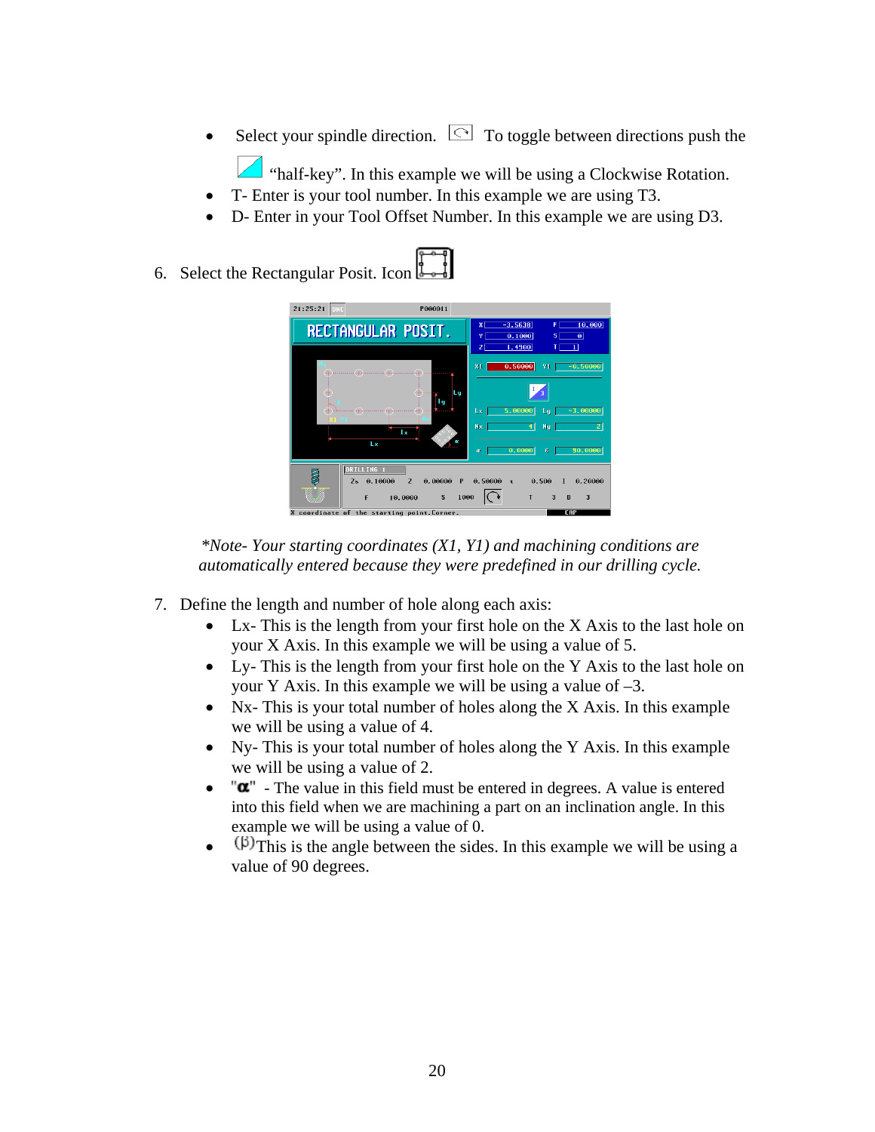Select your spindle direction.  $\Box$  To toggle between directions push the

"half-key". In this example we will be using a Clockwise Rotation.

- T- Enter is your tool number. In this example we are using T3.
- D- Enter in your Tool Offset Number. In this example we are using D3.
- 6. Select the Rectangular Posit. Icon



*\*Note- Your starting coordinates (X1, Y1) and machining conditions are automatically entered because they were predefined in our drilling cycle.* 

- 7. Define the length and number of hole along each axis:
	- Lx- This is the length from your first hole on the X Axis to the last hole on your X Axis. In this example we will be using a value of 5.
	- Ly- This is the length from your first hole on the Y Axis to the last hole on your Y Axis. In this example we will be using a value of  $-3$ .
	- Nx- This is your total number of holes along the X Axis. In this example we will be using a value of 4.
	- Ny- This is your total number of holes along the Y Axis. In this example we will be using a value of 2.
	- $\mathbf{w}$  The value in this field must be entered in degrees. A value is entered into this field when we are machining a part on an inclination angle. In this example we will be using a value of 0.
	- $(\beta)$ This is the angle between the sides. In this example we will be using a value of 90 degrees.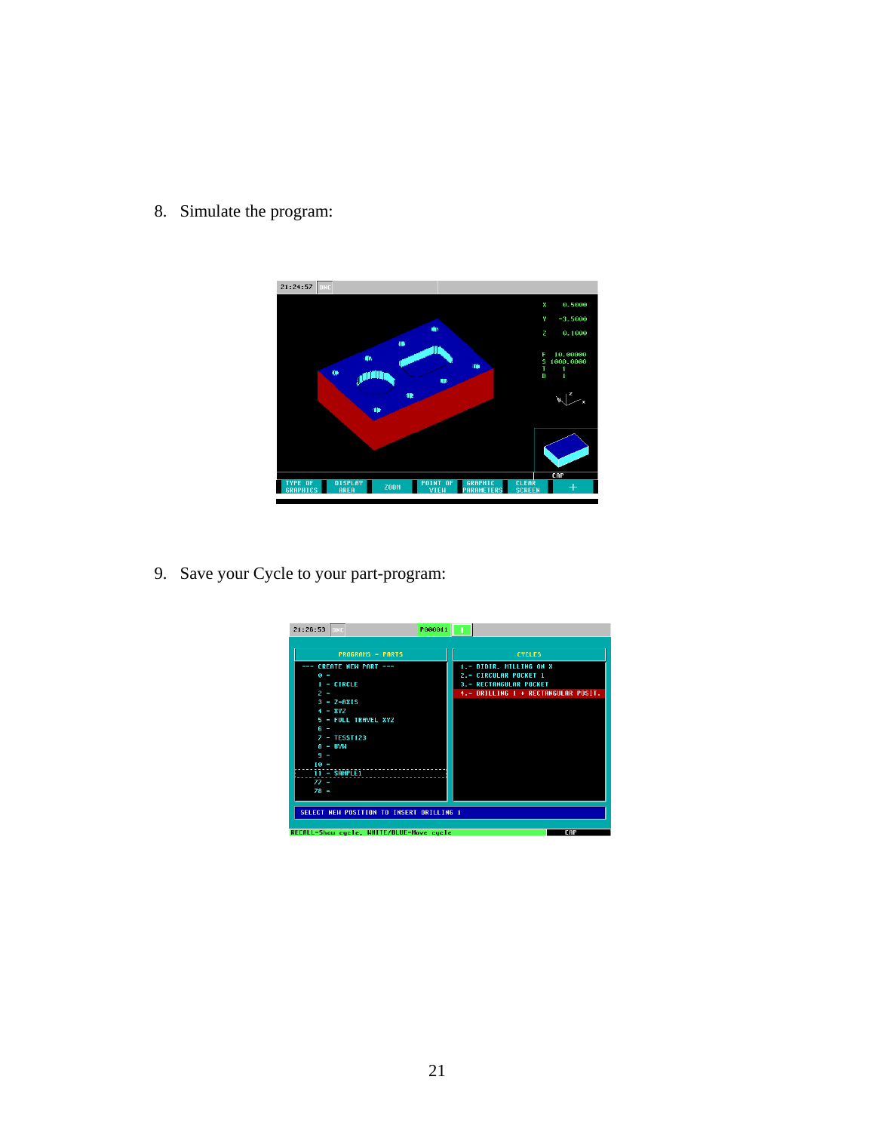8. Simulate the program:



9. Save your Cycle to your part-program:

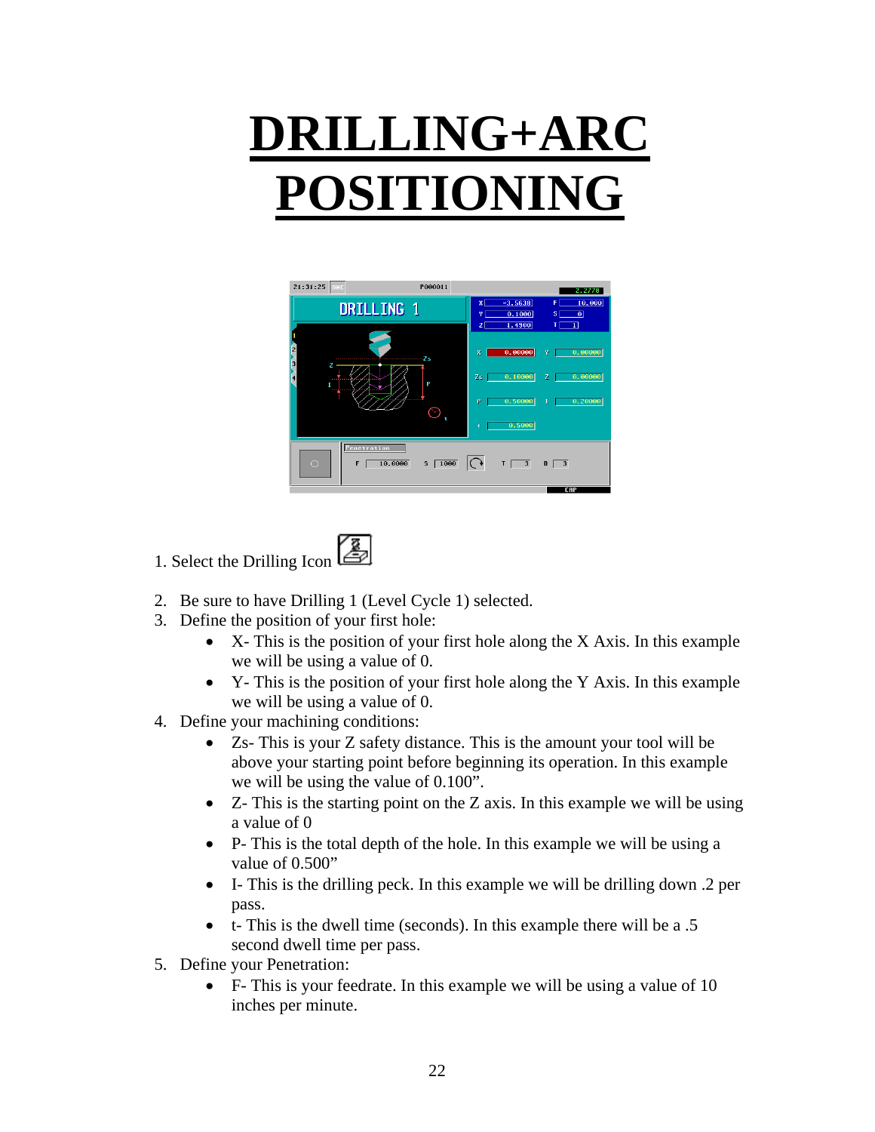## **DRILLING+ARC POSITIONING**



- 1. Select the Drilling Icon
- 2. Be sure to have Drilling 1 (Level Cycle 1) selected.
- 3. Define the position of your first hole:
	- X- This is the position of your first hole along the X Axis. In this example we will be using a value of 0.
	- Y- This is the position of your first hole along the Y Axis. In this example we will be using a value of 0.
- 4. Define your machining conditions:
	- Zs- This is your Z safety distance. This is the amount your tool will be above your starting point before beginning its operation. In this example we will be using the value of 0.100".
	- Z- This is the starting point on the Z axis. In this example we will be using a value of 0
	- P- This is the total depth of the hole. In this example we will be using a value of  $0.500"$
	- I- This is the drilling peck. In this example we will be drilling down .2 per pass.
	- t- This is the dwell time (seconds). In this example there will be a .5 second dwell time per pass.
- 5. Define your Penetration:
	- F- This is your feedrate. In this example we will be using a value of 10 inches per minute.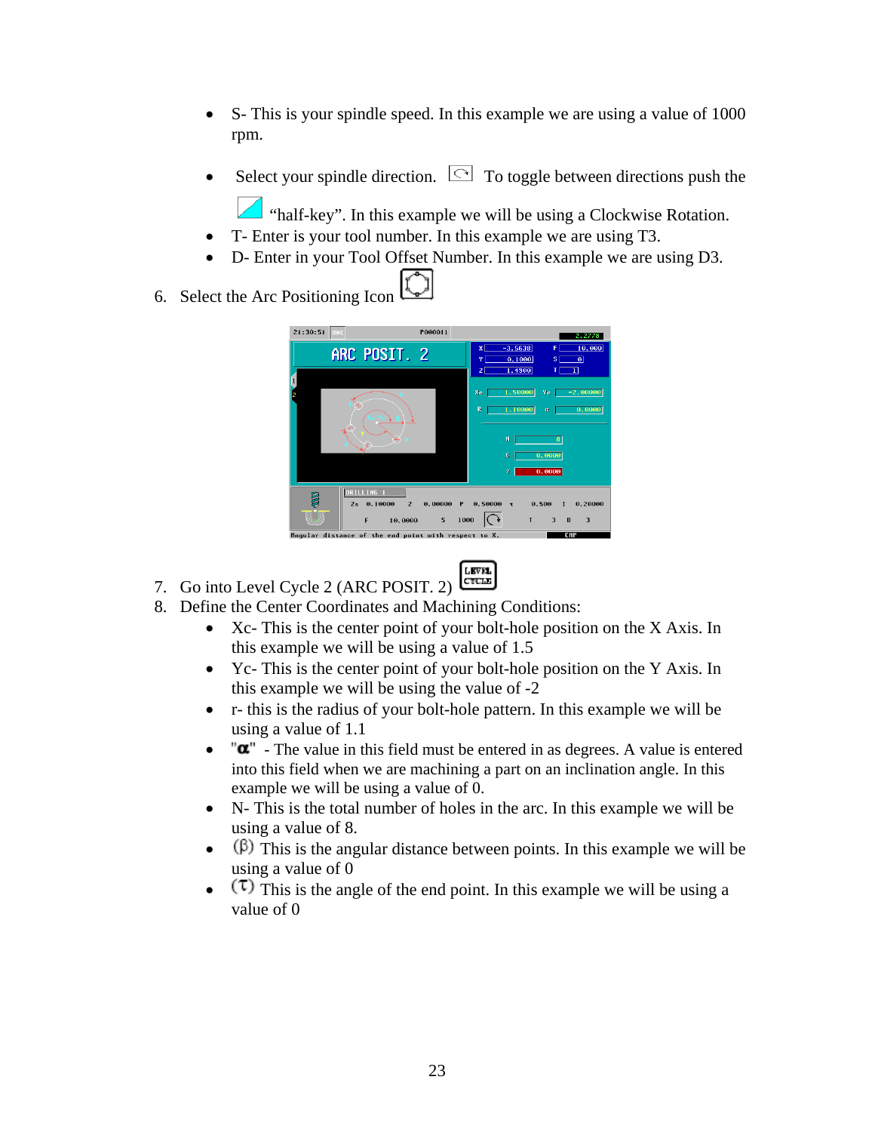- S- This is your spindle speed. In this example we are using a value of 1000 rpm.
- Select your spindle direction.  $\Box$  To toggle between directions push the

"half-key". In this example we will be using a Clockwise Rotation.

- T- Enter is your tool number. In this example we are using T3.
- D- Enter in your Tool Offset Number. In this example we are using D3.
- 6. Select the Arc Positioning Icon



- LEVEL<br>CTCLE 7. Go into Level Cycle 2 (ARC POSIT. 2)
- 8. Define the Center Coordinates and Machining Conditions:
	- Xc- This is the center point of your bolt-hole position on the X Axis. In this example we will be using a value of 1.5
	- Yc- This is the center point of your bolt-hole position on the Y Axis. In this example we will be using the value of -2
	- r- this is the radius of your bolt-hole pattern. In this example we will be using a value of 1.1
	- $\bullet$   $\mathbf{a}^{\mathsf{m}}$  The value in this field must be entered in as degrees. A value is entered into this field when we are machining a part on an inclination angle. In this example we will be using a value of 0.
	- N- This is the total number of holes in the arc. In this example we will be using a value of 8.
	- ( $\beta$ ) This is the angular distance between points. In this example we will be using a value of 0
	- $(\tau)$  This is the angle of the end point. In this example we will be using a value of 0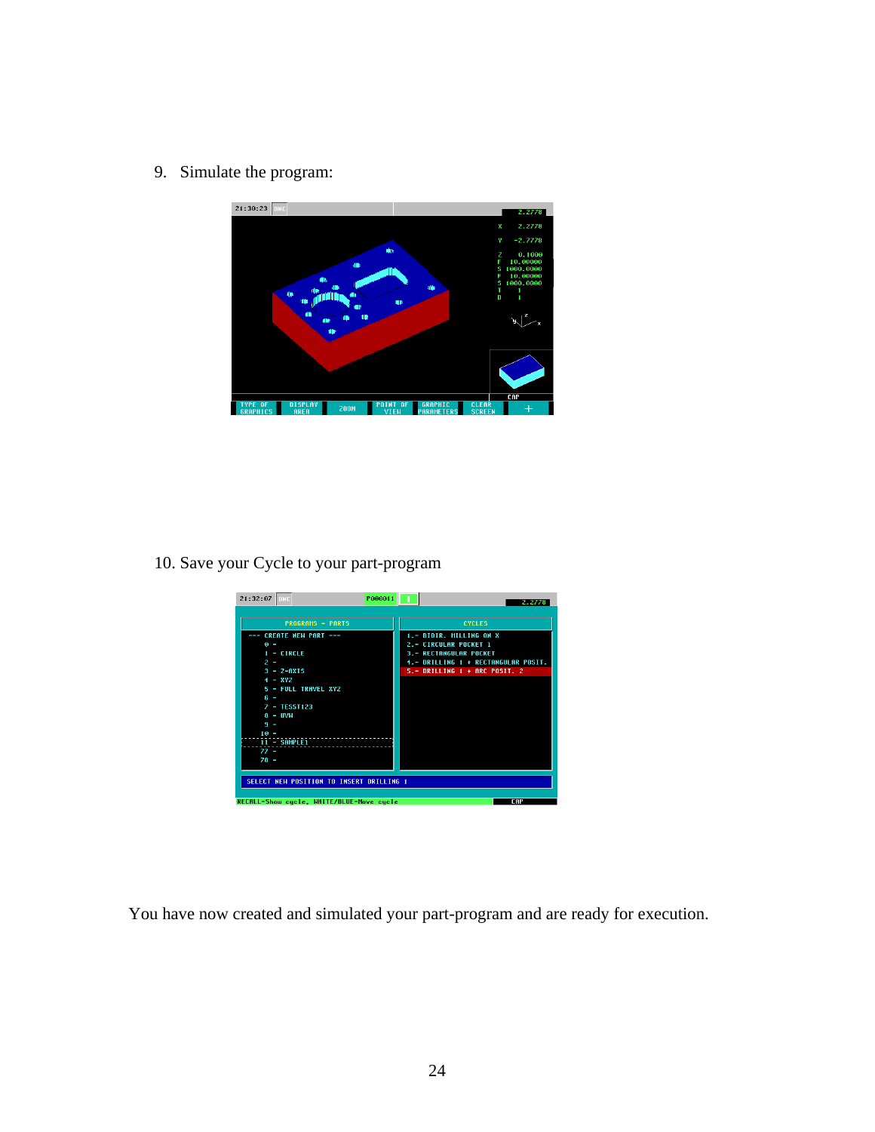9. Simulate the program:



10. Save your Cycle to your part-program



You have now created and simulated your part-program and are ready for execution.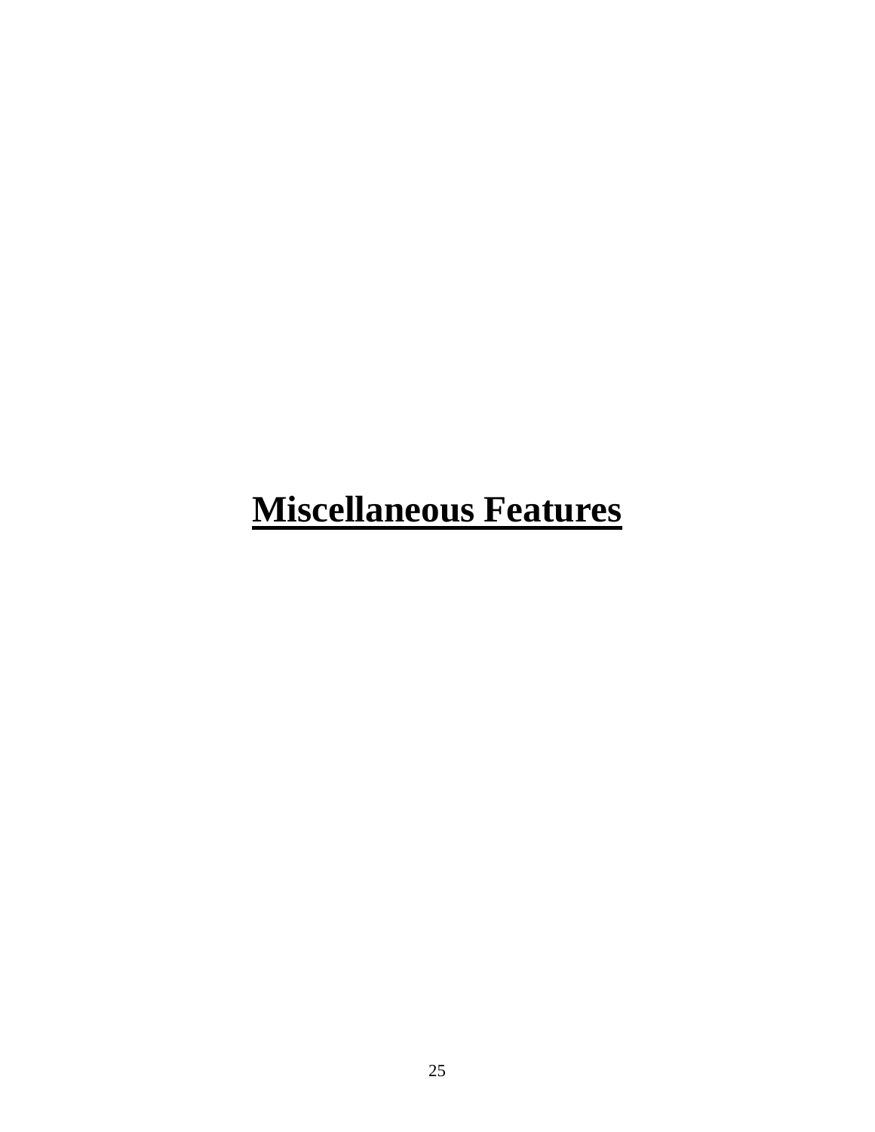## **Miscellaneous Features**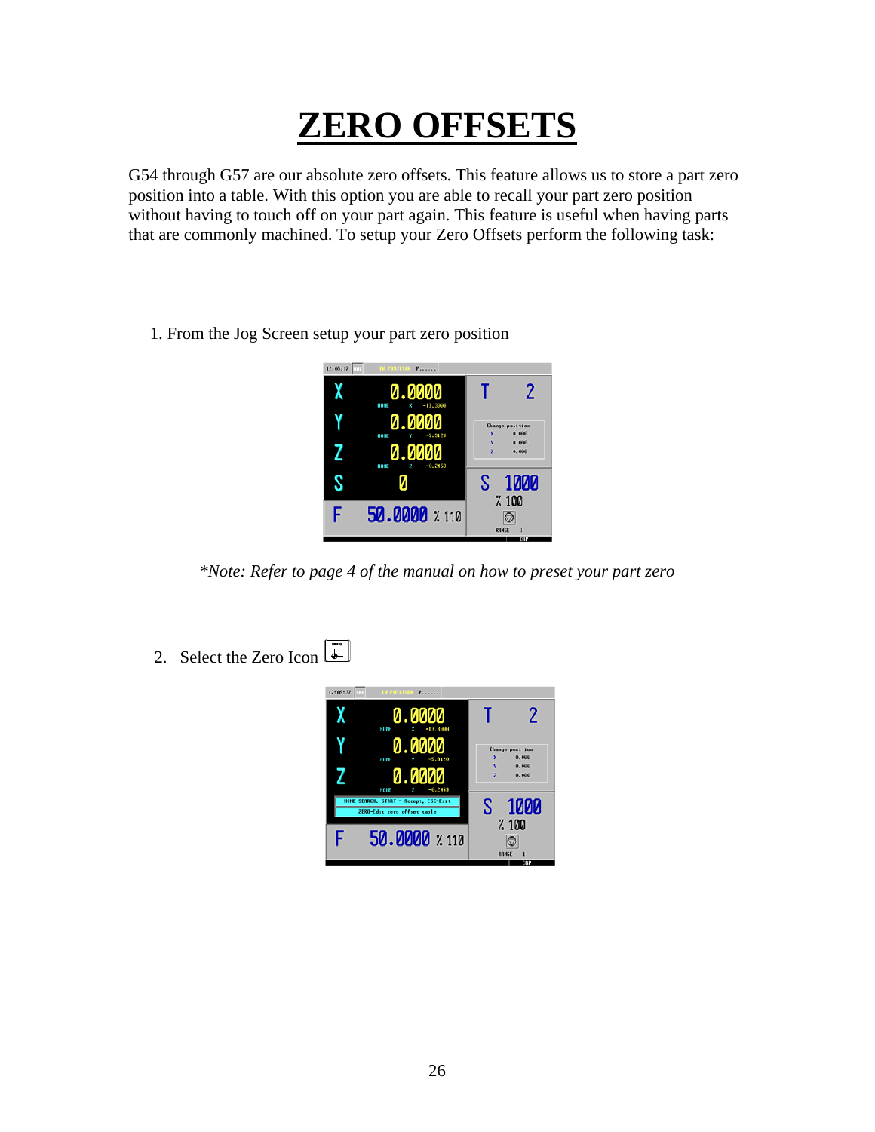## **ZERO OFFSETS**

G54 through G57 are our absolute zero offsets. This feature allows us to store a part zero position into a table. With this option you are able to recall your part zero position without having to touch off on your part again. This feature is useful when having parts that are commonly machined. To setup your Zero Offsets perform the following task:

1. From the Jog Screen setup your part zero position



*\*Note: Refer to page 4 of the manual on how to preset your part zero* 

2. Select the Zero Icon  $\boxed{2}$ 

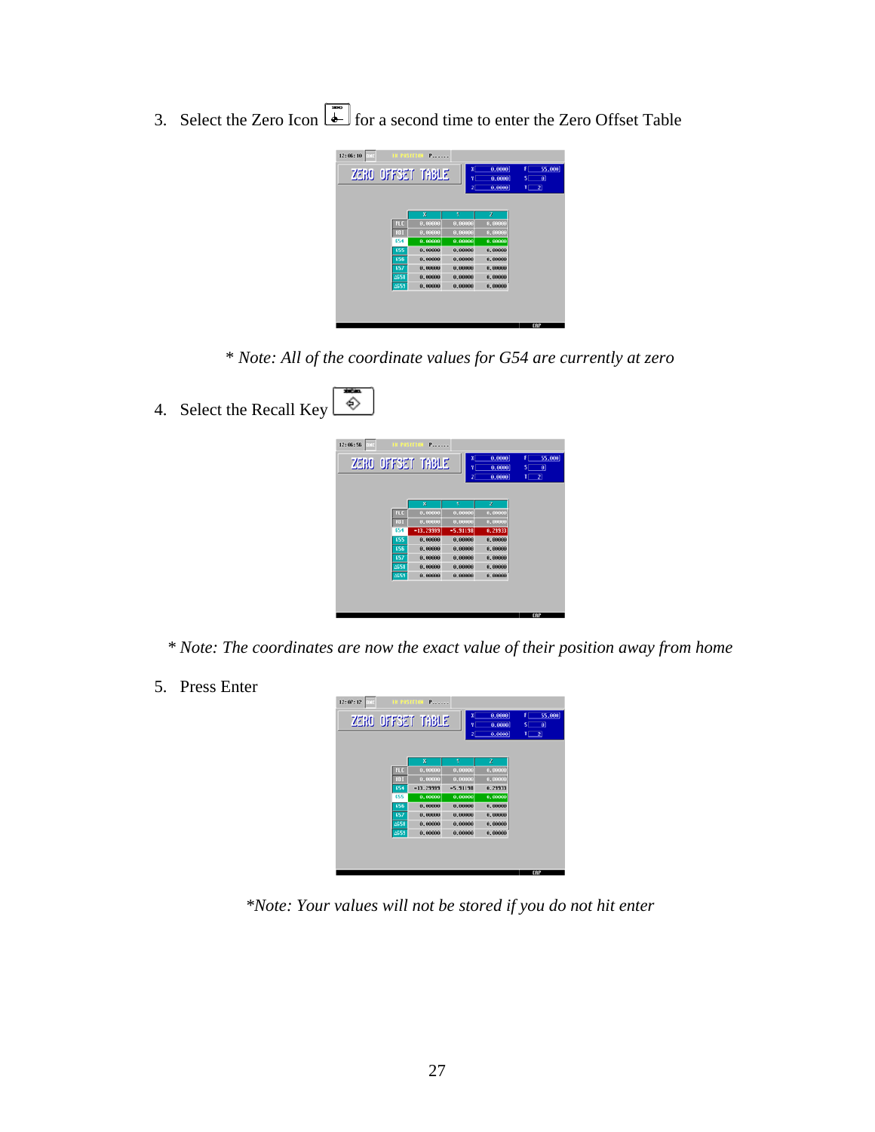3. Select the Zero Icon  $\boxed{\bullet}$  for a second time to enter the Zero Offset Table

| 12:06:10<br>ZERO OFFSET TABLE | <b>IN POSITION Pressure</b> | x<br>۷<br>z | 0,0000<br>0.0000<br>0.0000] | 55,000<br>F<br>$\vert \mathbf{0} \vert$<br>s<br>$1 \square 2$ |
|-------------------------------|-----------------------------|-------------|-----------------------------|---------------------------------------------------------------|
|                               | x                           | π           | z                           |                                                               |
| PLO                           | 0.00000                     | 8,00000     | 0.00000                     |                                                               |
| <b>ACT</b>                    | 0.00000                     | 8,00000     | 8,00000                     |                                                               |
| 654                           | 0.00000                     | 0,00000     | 0.00000                     |                                                               |
| 655                           | 0.00000                     | 0.00000     | 0.00000                     |                                                               |
| 656                           | 0.00000                     | 0.00000     | 0.00000                     |                                                               |
| 657                           | 0.00000                     | 0.00000     | 0,00000                     |                                                               |
| 0658                          | 0.00000                     | 0.00000     | 0.00000                     |                                                               |
| 0559                          | 0.00000                     | 0.00000     | 0.00000                     |                                                               |
|                               |                             |             |                             |                                                               |

\* *Note: All of the coordinate values for G54 are currently at zero* 

| 4. | Select the Recall Key | <b>REAL</b><br>♦ |              |                             |                    |                            |                                           |
|----|-----------------------|------------------|--------------|-----------------------------|--------------------|----------------------------|-------------------------------------------|
|    |                       | 12:06:56<br>nic. |              | <b>IN POSITION Pressure</b> |                    |                            |                                           |
|    |                       |                  |              | ZERO OFFSET TABLE           |                    | 0,0000<br>0,0000<br>0,0000 | $1 \ \ 55,000$<br>$S$ $\theta$<br>$T$ $2$ |
|    |                       |                  |              | ×                           | γ                  | z                          |                                           |
|    |                       |                  | PLC          | 0.00000                     | 8,00000            | 8,00000                    |                                           |
|    |                       |                  | <b>RG1</b>   | 0.00000                     | 8,80000            | 9,00000                    |                                           |
|    |                       |                  | 654          | $-13.29999$                 | $-5.31138$         | 0.29933                    |                                           |
|    |                       |                  | 655          | 0.00000                     | 0.00000            | 0.00000                    |                                           |
|    |                       |                  | 656          | 0.00000                     | 0.00000            | 0.00000                    |                                           |
|    |                       |                  | 657          | 0.00000                     | 0.00000            | 0,00000                    |                                           |
|    |                       |                  | 4658<br>2659 | 0.00000<br>0.00000          | 0.00000<br>0.00000 | 0.00000<br>0.00000         |                                           |
|    |                       |                  |              |                             |                    |                            | <b>TOP</b>                                |

*\* Note: The coordinates are now the exact value of their position away from home* 

5. Press Enter

| 12:07:12<br>ZERO OFFSET TABLE | THE POSITION P | x<br>٧<br>z | 0,0000<br>0.0000<br>0,0000 | 55,000<br>Ŧ.<br>$\vert \mathbf{0} \vert$<br>s.<br>$1 \square 2$ |
|-------------------------------|----------------|-------------|----------------------------|-----------------------------------------------------------------|
|                               | x              | γ           | $\mathbf z$                |                                                                 |
| PLC                           | 0.00000        | 8,00000     | 0.00000                    |                                                                 |
| <b>NGT</b>                    | 0.00000        | 8,00000     | 0.00000                    |                                                                 |
| 654                           | $-13.23333$    | $-5.31138$  | 0.23333                    |                                                                 |
| 655                           | 0.00000        | 8.00000     | 0.00000                    |                                                                 |
| 656                           | 0.00000        | 8,00000     | 0.00000                    |                                                                 |
| 657                           | 0.00000        | 8,00000     | 0.00000                    |                                                                 |
| <b>AG58</b>                   | 0.00000        | 0.00000     | 0.00000                    |                                                                 |
| 4659                          | 0.00000        | 0.00000     | 0.00000                    |                                                                 |
|                               |                |             |                            |                                                                 |
|                               |                |             |                            | CBP                                                             |

*\*Note: Your values will not be stored if you do not hit enter*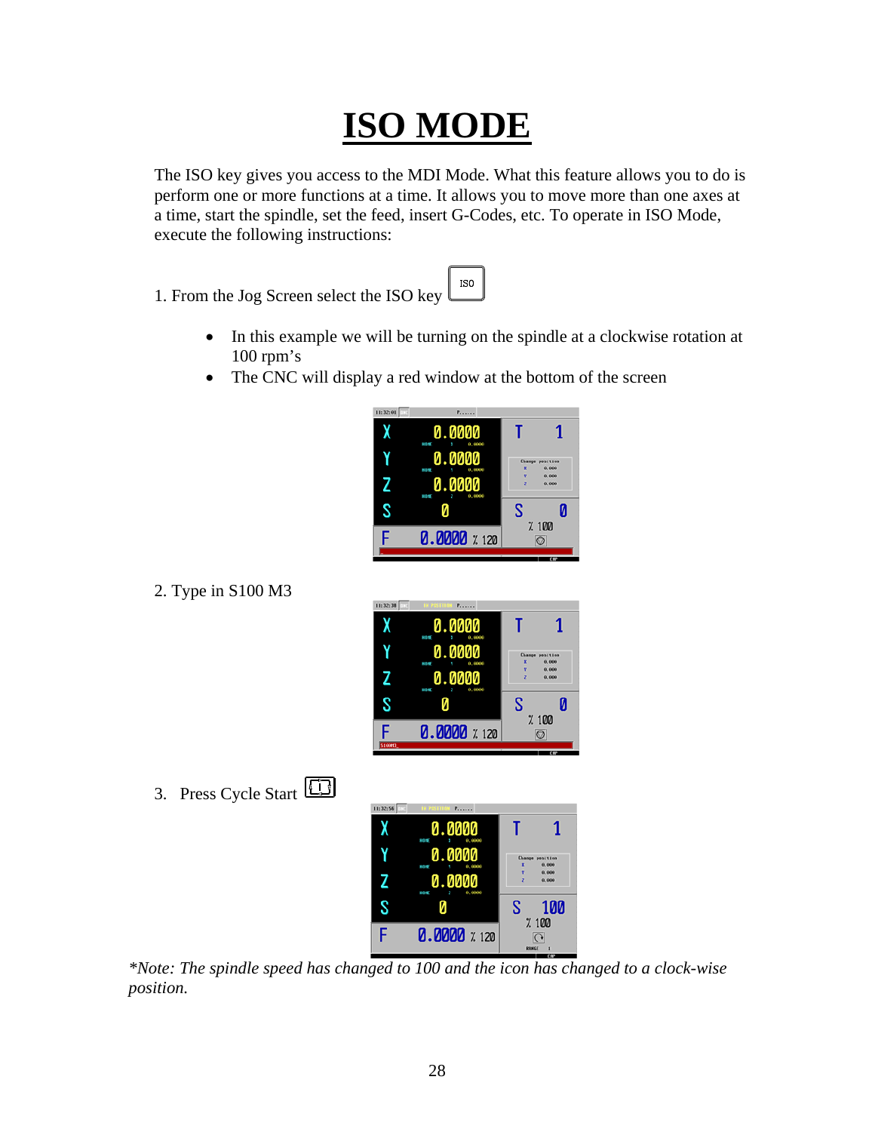### **ISO MODE**

The ISO key gives you access to the MDI Mode. What this feature allows you to do is perform one or more functions at a time. It allows you to move more than one axes at a time, start the spindle, set the feed, insert G-Codes, etc. To operate in ISO Mode, execute the following instructions:

1. From the Jog Screen select the ISO key

• In this example we will be turning on the spindle at a clockwise rotation at  $100$  rpm's

 $_{\rm ISO}$ 

• The CNC will display a red window at the bottom of the screen

| 11:32:01 | Process                      |        |                                 |
|----------|------------------------------|--------|---------------------------------|
|          | 0.0000<br>mire<br>0,0000     |        |                                 |
|          | 0.0000<br>0,0000<br>nin      | ×      | <b>Change position</b><br>0.000 |
|          | 0000<br>Ø.<br>0,0000<br>ning | Y<br>z | 9,000<br>8,800                  |
|          |                              | S      | И                               |
|          | <b>0.0000</b> % 120          |        | %100                            |
|          |                              |        | CRF                             |

2. Type in S100 M3

| 11:32:38<br><b>USD</b> | $P_{\text{source}}$               |        |                                 |
|------------------------|-----------------------------------|--------|---------------------------------|
|                        | 0.0000<br>0,0000<br>mire<br>x     |        |                                 |
|                        | 800<br>Ø.<br><b>DURANT</b><br>nin | ×      | <b>Change position</b><br>0.000 |
|                        | И<br>0,0000<br>ning               | v<br>z | 0,000<br>8,800                  |
|                        |                                   | S      | Ø                               |
|                        | <b>0.0000</b> % 120               |        | %100                            |
| \$10003                |                                   |        | CHF                             |

3. Press Cycle Start

| 11:32:56<br><b>THE</b> | <b>IN POSTFIEM Pressure</b>   |        |                                 |
|------------------------|-------------------------------|--------|---------------------------------|
|                        | 0.0000<br>mire<br>0,0000<br>x |        |                                 |
|                        | 0.0000<br>0,0000<br>٧<br>nin  | ×      | <b>Change position</b><br>0.000 |
|                        | aaa<br>0,0000<br>nire         | v<br>z | 0,000<br>8,800                  |
|                        |                               | S      | 100                             |
| F                      | <b>0.0000</b> % 120           |        | %100<br>↷<br>RANGE<br>и         |

 *\*Note: The spindle speed has changed to 100 and the icon has changed to a clock-wise position.*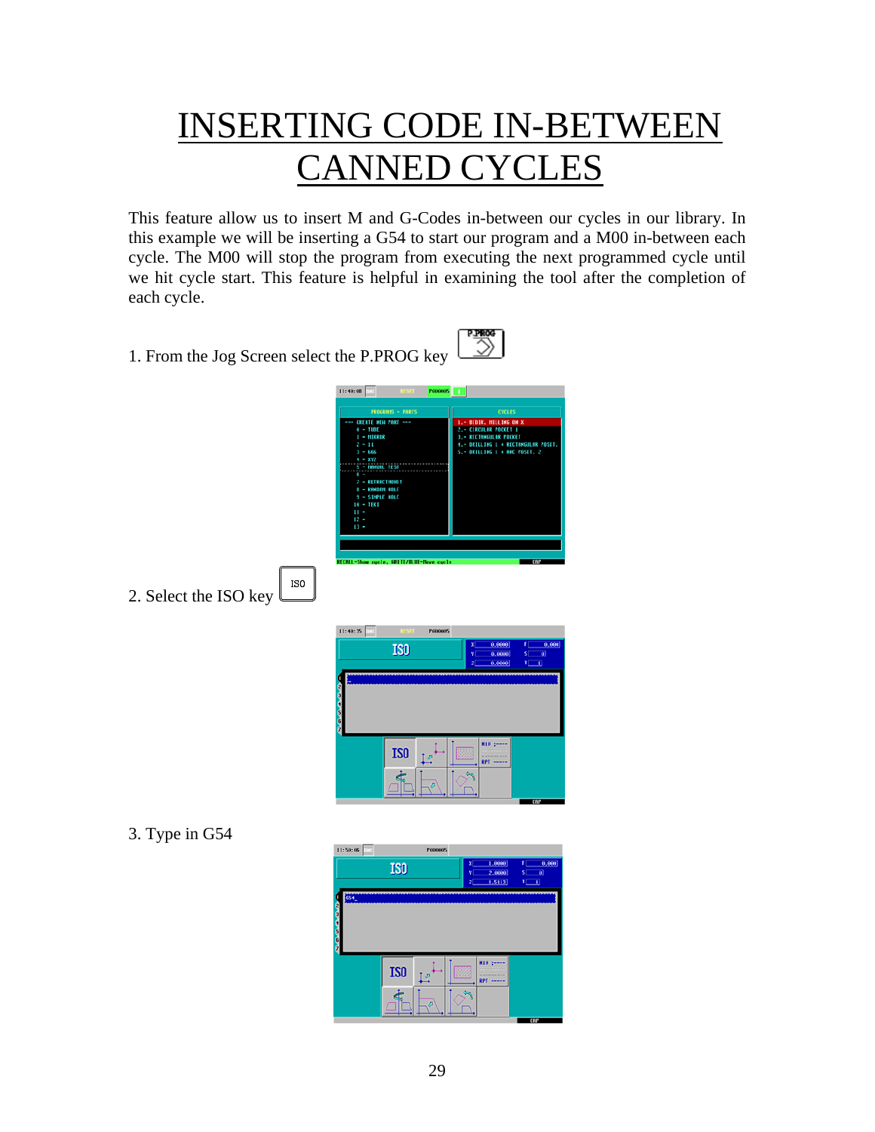### INSERTING CODE IN-BETWEEN CANNED CYCLES

This feature allow us to insert M and G-Codes in-between our cycles in our library. In this example we will be inserting a G54 to start our program and a M00 in-between each cycle. The M00 will stop the program from executing the next programmed cycle until we hit cycle start. This feature is helpful in examining the tool after the completion of each cycle.

1. From the Jog Screen select the P.PROG key



ISO 2. Select the ISO key

| 11:40:35 | 11 S.D.T        | <b>P000065</b> |                                                                      |                                            |                                    |
|----------|-----------------|----------------|----------------------------------------------------------------------|--------------------------------------------|------------------------------------|
|          | IS <sub>0</sub> |                | x<br>٧<br>$\overline{z}$                                             | 0.0000<br>F<br>0.0000<br>s:<br>0,0000<br>п | 0.000<br>$\vert \theta \vert$<br>п |
| ÷        |                 |                |                                                                      |                                            |                                    |
|          |                 |                |                                                                      |                                            |                                    |
| 6        |                 |                |                                                                      |                                            |                                    |
|          | IS <sub>0</sub> | D              | $H10:***$<br>whether the first and security that<br><b>RPT -----</b> |                                            |                                    |
|          | È               | z              |                                                                      |                                            |                                    |
|          |                 |                |                                                                      | <b>TATE</b>                                |                                    |

3. Type in G54

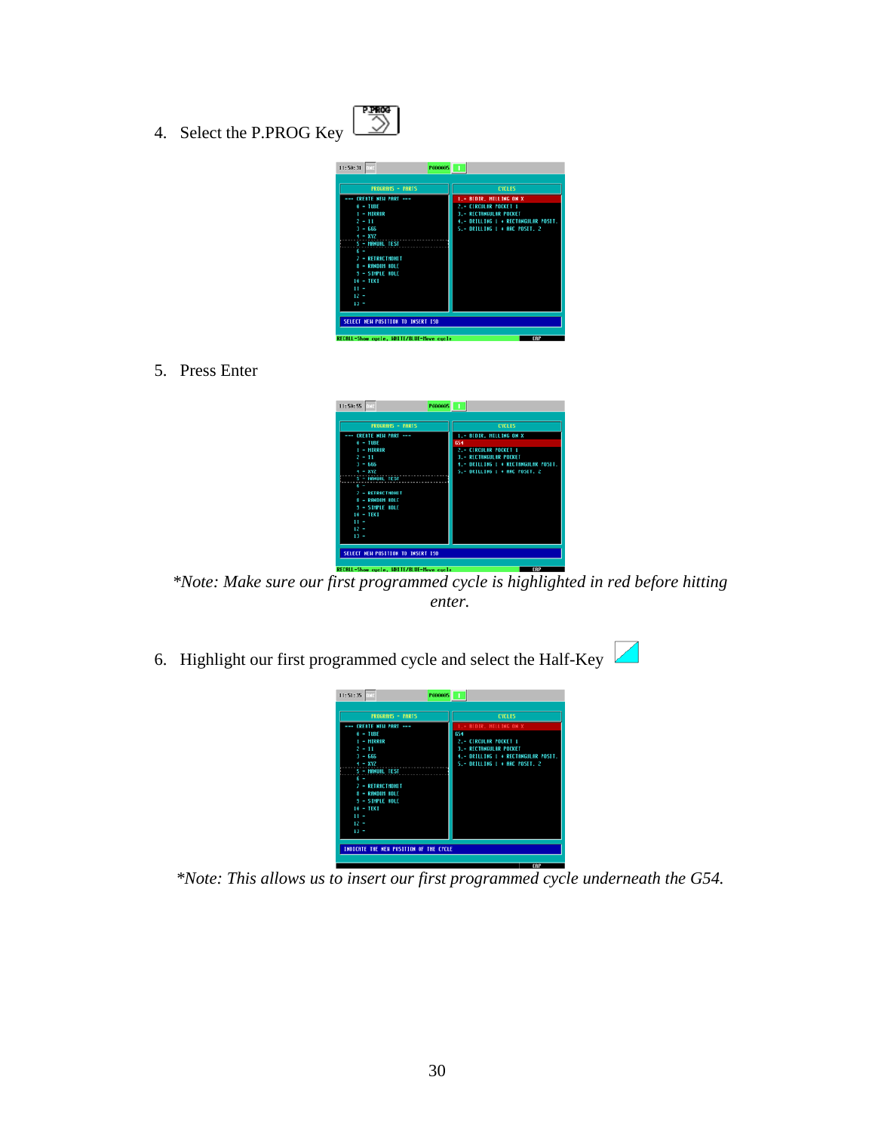4. Select the P.PROG Key



鹦

5. Press Enter



**\*Note:** Make sure our first programmed cycle is highlighted in red before hitting *enter.* 

6. Highlight our first programmed cycle and select the Half-Key  $\Box$ 

| <b>PROGRAMS - PARTS</b> | <b>CYCLES</b>                       |
|-------------------------|-------------------------------------|
| --- ERERTE NEW PRRT --- | 1.- BIDIR, HILLING ON X             |
| $0 - 1085$              | 654                                 |
| I - MIRROR              | 2.- CIRCULAR POCKET 1               |
| $2 - 11$                | <b>3.- RECTANGULAR POCKET</b>       |
| $3 - 666$               | 4.- DRILLING 1 + RECTANGULAR POSIT. |
| $4 - XYZ$               | 5.- DRILLING 1 + ARC POSIT, 2       |
| <b>S - IMMURL TEST</b>  |                                     |
| $6 -$                   |                                     |
| $T = RETERCTHDHIT$      |                                     |
| 8 - RANDOM HOLE         |                                     |
| <b>9 - SIMMLE HOLE</b>  |                                     |
| $10 - \text{HEK}$       |                                     |
| $11 -$                  |                                     |
| $12 -$                  |                                     |
| $13 -$                  |                                     |

*\*Note: This allows us to insert our first programmed cycle underneath the G54.*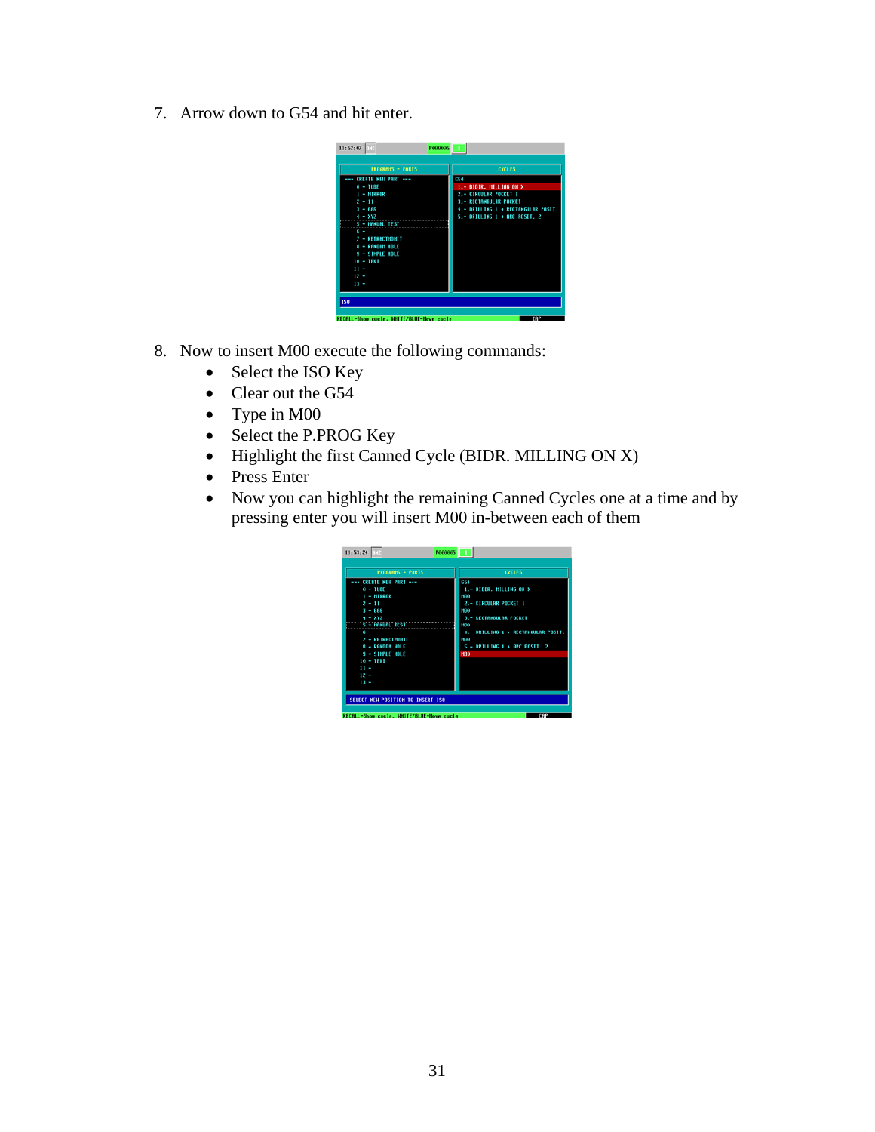7. Arrow down to G54 and hit enter.



- 8. Now to insert M00 execute the following commands:
	- Select the ISO Key
	- Clear out the G54
	- Type in M00
	- Select the P.PROG Key
	- Highlight the first Canned Cycle (BIDR. MILLING ON X)
	- Press Enter
	- Now you can highlight the remaining Canned Cycles one at a time and by pressing enter you will insert M00 in-between each of them

| <b>PROGRAMS - PARTS</b> | <b>CYCLES</b>                        |
|-------------------------|--------------------------------------|
| --- CREATE MEN PART --- | 654                                  |
| $0 - IUBE$              | 1.- BIDIR, MILLING ON X              |
| $1 - MIRROR$            | 1930                                 |
| $2 - 11$                | 2.- CIRCULAR POCKET 1                |
| $3 - 666$               | ma                                   |
| $4 - XY2$               | 3.- RECTANGULAR POCKET               |
| <b>S - MINUAL TEST</b>  | NO                                   |
| $\sim$                  | 4. - DRILLING 1 + RECTANGULAR POSIT. |
| <b>7 - RETRACTMONIT</b> | ma                                   |
| <b>8 - RANDOM HOLE</b>  | 5.- ORILLING 1 + ARC POSIT, 2        |
| <b>3 - SIMPLE HOLE</b>  | H30                                  |
| $10 - TFX$              |                                      |
| $11 -$                  |                                      |
| $12 -$                  |                                      |
| $13 -$                  |                                      |
|                         |                                      |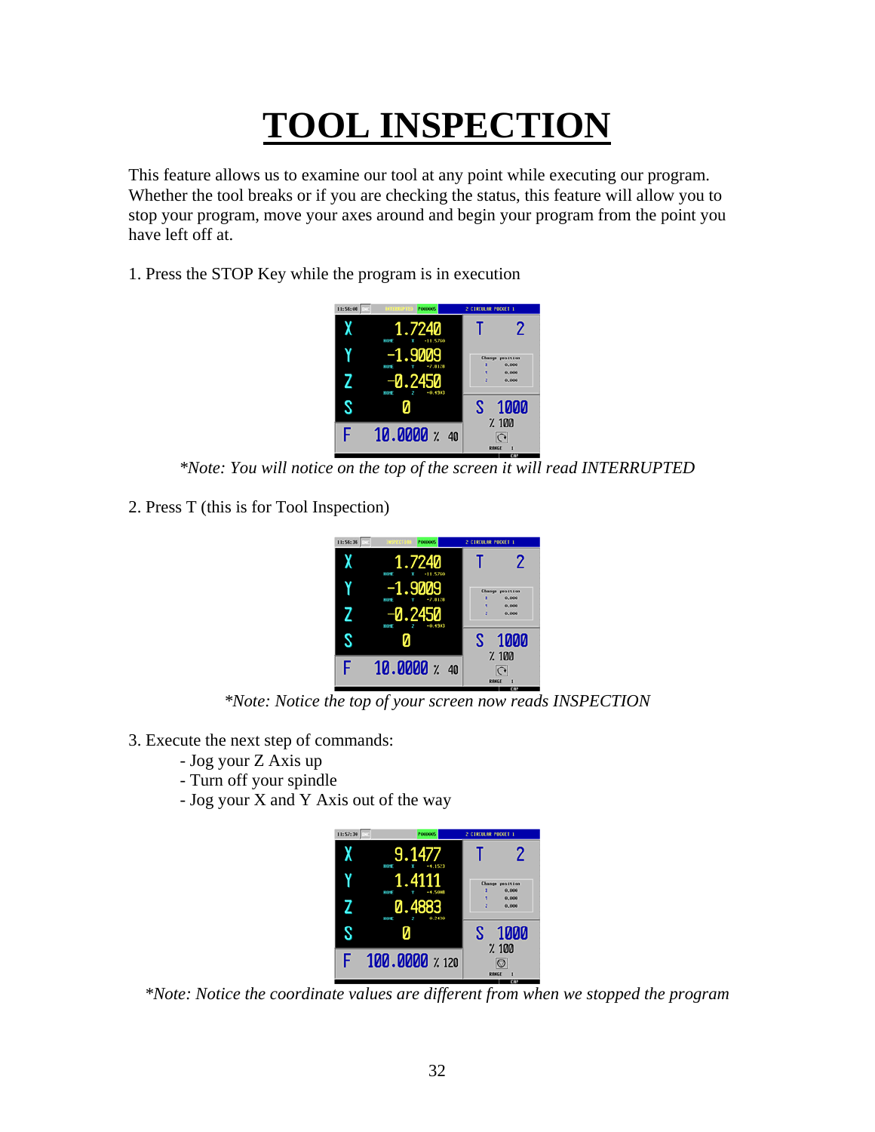## **TOOL INSPECTION**

This feature allows us to examine our tool at any point while executing our program. Whether the tool breaks or if you are checking the status, this feature will allow you to stop your program, move your axes around and begin your program from the point you have left off at.

1. Press the STOP Key while the program is in execution



*\*Note: You will notice on the top of the screen it will read INTERRUPTED* 

2. Press T (this is for Tool Inspection)



*\*Note: Notice the top of your screen now reads INSPECTION* 

- 3. Execute the next step of commands:
	- Jog your Z Axis up
	- Turn off your spindle
	- Jog your X and Y Axis out of the way



*\*Note: Notice the coordinate values are different from when we stopped the program*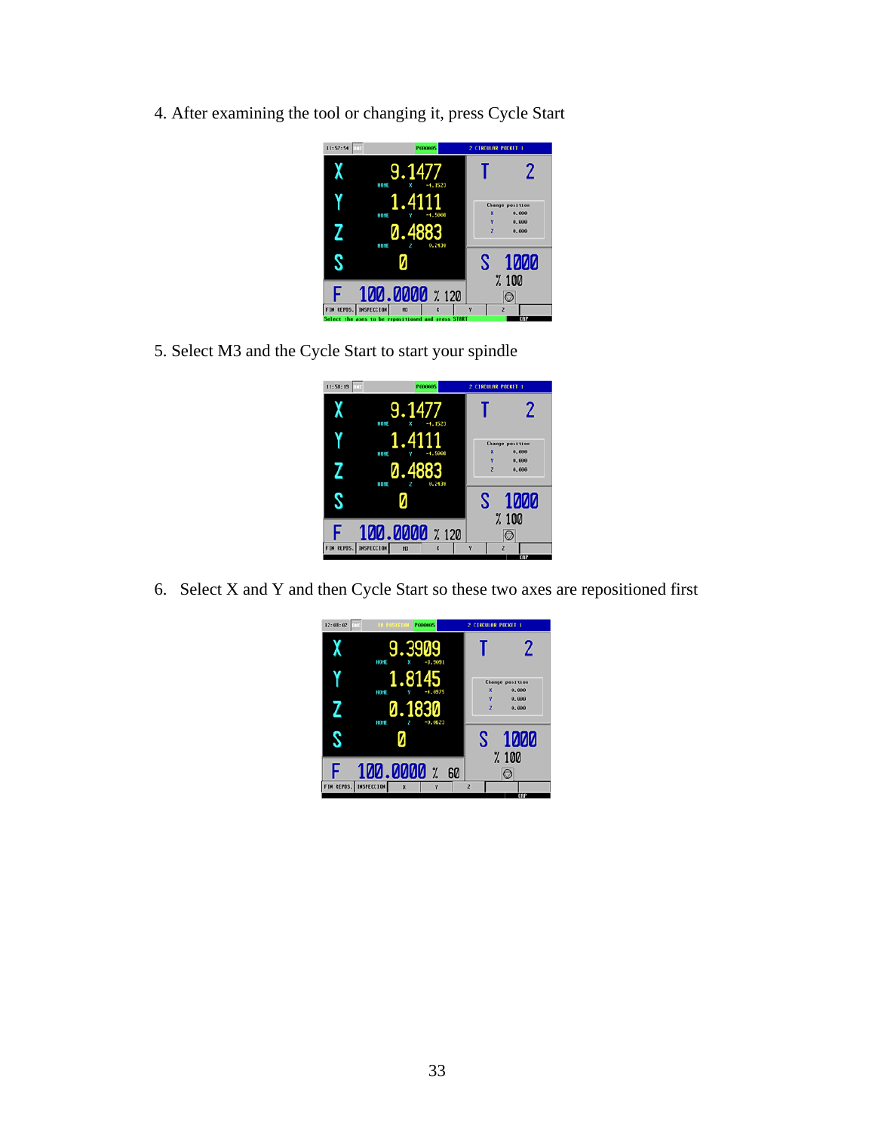4. After examining the tool or changing it, press Cycle Start



5. Select M3 and the Cycle Start to start your spindle



6. Select X and Y and then Cycle Start so these two axes are repositioned first

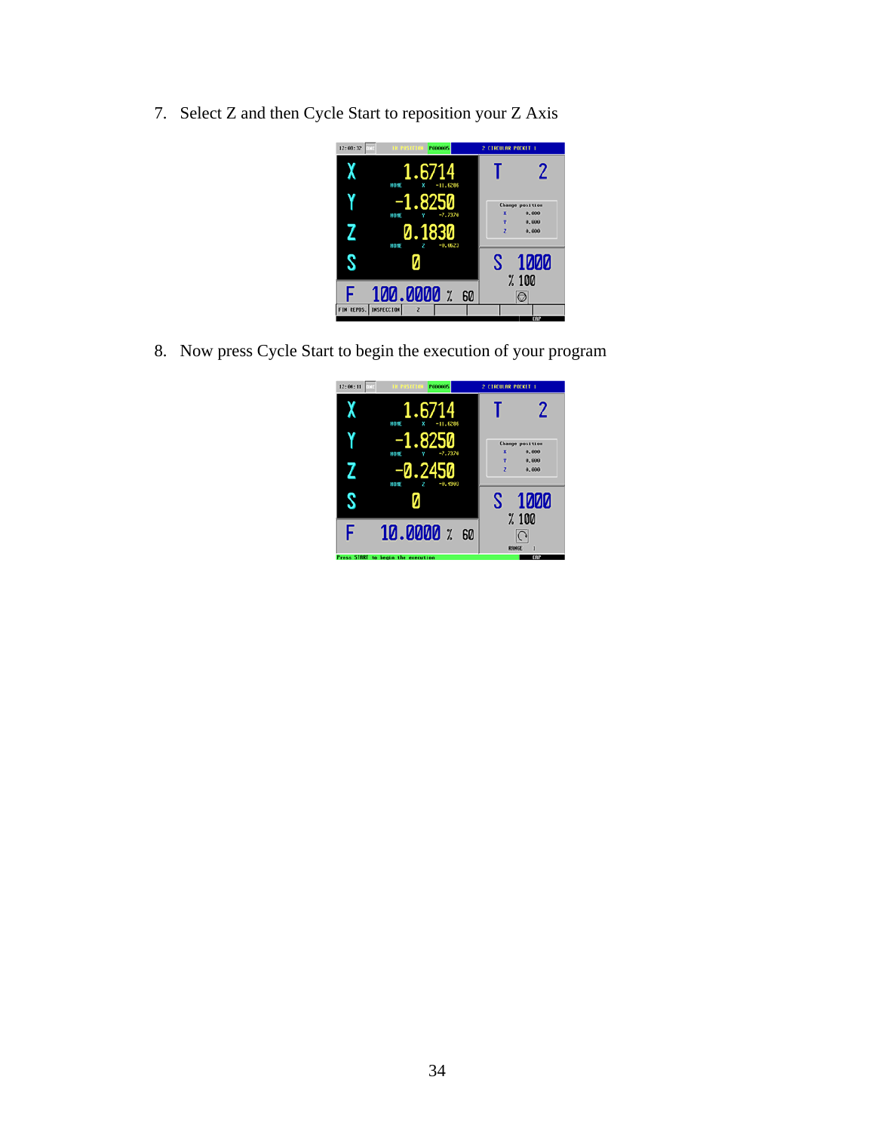7. Select Z and then Cycle Start to reposition your Z Axis



8. Now press Cycle Start to begin the execution of your program

| ωŕ<br>12:04:11 | <b>THE PASTTION</b><br><b>P000005</b> | 2 CIRCULAR POCKET 1                  |
|----------------|---------------------------------------|--------------------------------------|
|                | 1.6714<br>×<br>$-11.6286$<br>HOPE     | 2                                    |
|                | .8250<br>$-2.7370$<br>HOPE            | <b>Change position</b><br>×<br>0.000 |
|                | 0.24<br>$-0.4903$<br>HOME             | v<br>0.000<br>×<br>0.000             |
|                |                                       | 1000<br>S                            |
| F              | $10.0000$ $\times$ 60                 | %100<br>RANGE<br>1                   |
|                | Press START to begin the execution    | CIIP                                 |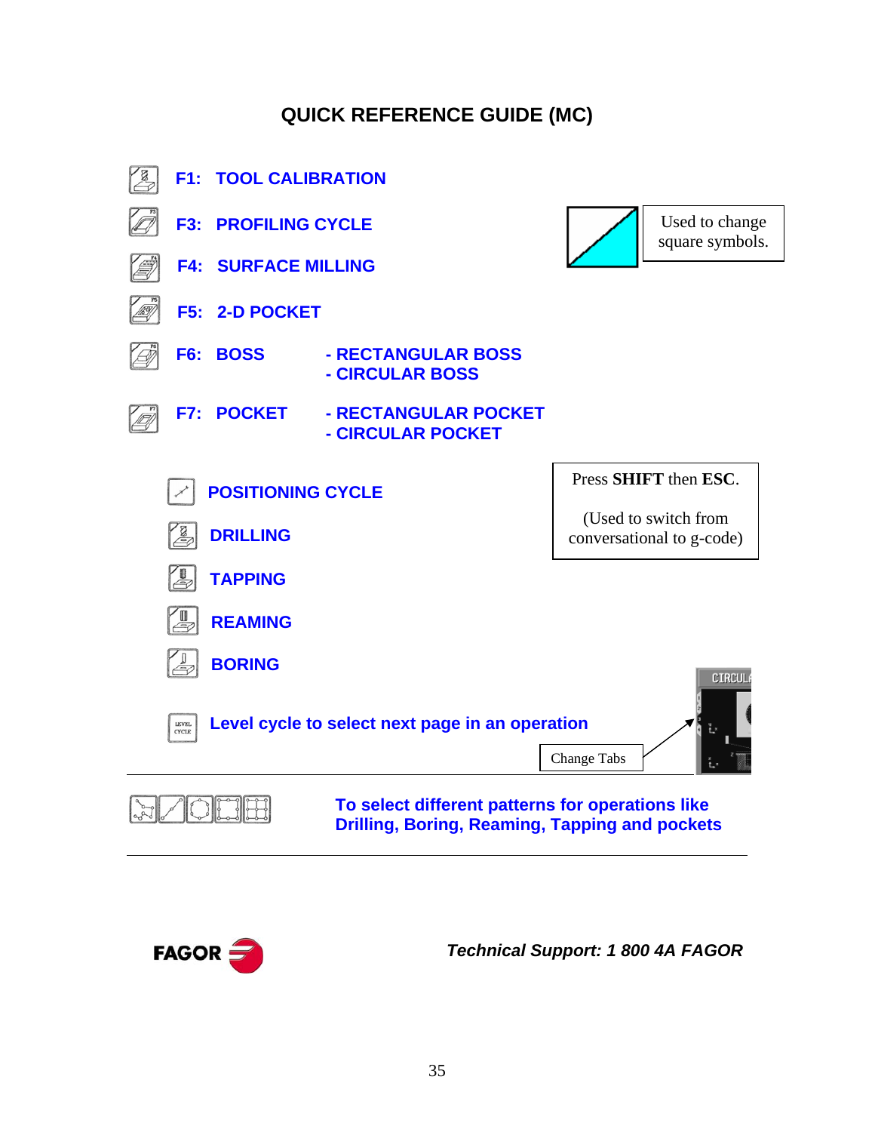#### **QUICK REFERENCE GUIDE (MC)**





 *Technical Support: 1 800 4A FAGOR*